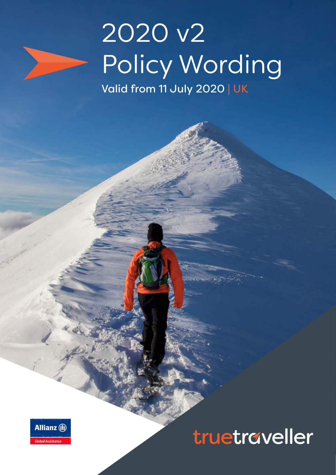

# 2020 v2 Policy Wording Valid from 11 July 2020 | UK



# truetraveller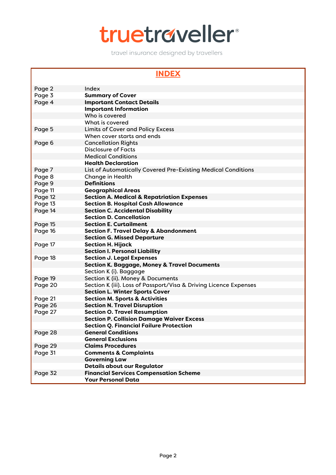# truetraveller

travel insurance designed by travellers

## **INDEX**

| Page 2  | Index                                                             |
|---------|-------------------------------------------------------------------|
| Page 3  | <b>Summary of Cover</b>                                           |
| Page 4  | <b>Important Contact Details</b>                                  |
|         | <b>Important Information</b>                                      |
|         | Who is covered                                                    |
|         | What is covered                                                   |
| Page 5  | <b>Limits of Cover and Policy Excess</b>                          |
|         | When cover starts and ends                                        |
| Page 6  | <b>Cancellation Rights</b>                                        |
|         | <b>Disclosure of Facts</b>                                        |
|         | <b>Medical Conditions</b>                                         |
|         | <b>Health Declaration</b>                                         |
| Page 7  | List of Automatically Covered Pre-Existing Medical Conditions     |
| Page 8  | <b>Change in Health</b>                                           |
| Page 9  | <b>Definitions</b>                                                |
| Page 11 | <b>Geographical Areas</b>                                         |
| Page 12 | <b>Section A. Medical &amp; Repatriation Expenses</b>             |
| Page 13 | <b>Section B. Hospital Cash Allowance</b>                         |
| Page 14 | <b>Section C. Accidental Disability</b>                           |
|         | <b>Section D. Cancellation</b>                                    |
| Page 15 | <b>Section E. Curtailment</b>                                     |
| Page 16 | <b>Section F. Travel Delay &amp; Abandonment</b>                  |
|         | <b>Section G. Missed Departure</b>                                |
| Page 17 | <b>Section H. Hijack</b>                                          |
|         | <b>Section I. Personal Liability</b>                              |
| Page 18 | <b>Section J. Legal Expenses</b>                                  |
|         | <b>Section K. Baggage, Money &amp; Travel Documents</b>           |
|         | Section K (i). Baggage                                            |
| Page 19 | Section K (ii). Money & Documents                                 |
| Page 20 | Section K (iii). Loss of Passport/Visa & Driving Licence Expenses |
|         | <b>Section L. Winter Sports Cover</b>                             |
| Page 21 | <b>Section M. Sports &amp; Activities</b>                         |
| Page 26 | <b>Section N. Travel Disruption</b>                               |
| Page 27 | <b>Section O. Travel Resumption</b>                               |
|         | <b>Section P. Collision Damage Waiver Excess</b>                  |
|         | <b>Section Q. Financial Failure Protection</b>                    |
| Page 28 | <b>General Conditions</b>                                         |
|         | <b>General Exclusions</b>                                         |
| Page 29 | <b>Claims Procedures</b>                                          |
| Page 31 | <b>Comments &amp; Complaints</b>                                  |
|         | <b>Governing Law</b>                                              |
|         | <b>Details about our Regulator</b>                                |
| Page 32 | <b>Financial Services Compensation Scheme</b>                     |
|         | <b>Your Personal Data</b>                                         |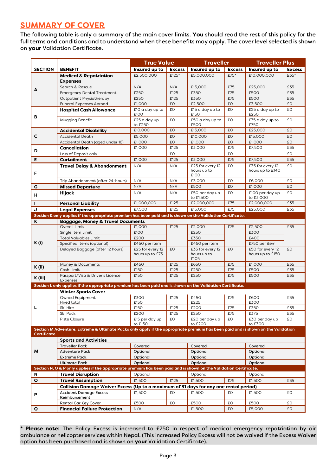# **SUMMARY OF COVER**

The following table is only a summary of the main cover limits. **You** should read the rest of this policy for the full terms and conditions and to understand when these benefits may apply. The cover level selected is shown on **your** Validation Certificate.

|                                                                                                                                  |                                                                                                                                            | <b>True Value</b>                   |               |                                         | <b>Traveller</b> |                                      | <b>Traveller Plus</b> |  |
|----------------------------------------------------------------------------------------------------------------------------------|--------------------------------------------------------------------------------------------------------------------------------------------|-------------------------------------|---------------|-----------------------------------------|------------------|--------------------------------------|-----------------------|--|
| <b>SECTION</b>                                                                                                                   | <b>BENEFIT</b>                                                                                                                             | Insured up to                       | <b>Excess</b> | Insured up to                           | <b>Excess</b>    | Insured up to                        | <b>Excess</b>         |  |
|                                                                                                                                  | <b>Medical &amp; Repatriation</b>                                                                                                          | £2,500,000                          | £125*         | £5,000,000                              | £75*             | £10,000,000                          | £35*                  |  |
| A                                                                                                                                | <b>Expenses</b>                                                                                                                            |                                     |               |                                         |                  |                                      |                       |  |
|                                                                                                                                  | Search & Rescue                                                                                                                            | N/A                                 | N/A           | £15,000                                 | £75              | £25,000                              | £35                   |  |
|                                                                                                                                  | <b>Emergency Dental Treatment</b>                                                                                                          | £250                                | £125          | £350                                    | £75              | £500                                 | £35                   |  |
|                                                                                                                                  | Outpatient Physiotherapy                                                                                                                   | £250                                | £125          | £350                                    | £75              | £500                                 | £35                   |  |
|                                                                                                                                  | <b>Funeral Expenses Abroad</b>                                                                                                             | £1,000                              | £0            | £2,500                                  | £0               | £3,500                               | £O                    |  |
| В                                                                                                                                | <b>Hospital Cash Allowance</b>                                                                                                             | £10 a day up to<br>£100             | £О            | £15 a day up to<br>£150                 | £О               | £25 a day up to<br>£250              | £О                    |  |
|                                                                                                                                  | Mugging Benefit                                                                                                                            | £25 a day up<br>to £250             | £О            | £50 a day up to<br>£500                 | £О               | £75 a day up to<br>£750              | £О                    |  |
|                                                                                                                                  | <b>Accidental Disability</b>                                                                                                               | £10,000                             | £O            | £15,000                                 | £O               | £25,000                              | £O                    |  |
| C                                                                                                                                | <b>Accidental Death</b>                                                                                                                    | £5,000                              | £0            | £10,000                                 | £0               | £15,000                              | £O                    |  |
|                                                                                                                                  | Accidental Death (aged under 16)                                                                                                           | £1,000                              | £O            | £1,000                                  | £O               | £1,000                               | £O                    |  |
| D                                                                                                                                | Cancellation                                                                                                                               | £1,000                              | £125          | £3,000                                  | £75              | £7,500                               | £35                   |  |
|                                                                                                                                  | Loss of Deposit only                                                                                                                       |                                     | £O            |                                         | £О               |                                      | £O                    |  |
| E                                                                                                                                | <b>Curtailment</b>                                                                                                                         | £1,000                              | £125          | £3,000                                  | £75              | £7,500                               | £35                   |  |
| F                                                                                                                                | <b>Travel Delay &amp; Abandonment</b>                                                                                                      | N/A                                 | N/A           | £25 for every 12<br>hours up to<br>£100 | £O               | £35 for every 12<br>hours up to £140 | £O                    |  |
|                                                                                                                                  | Trip Abandonment (after 24-hours)                                                                                                          | N/A                                 | N/A           | £3,000                                  | £O               | £6,000                               | £Ο                    |  |
| G                                                                                                                                | <b>Missed Departure</b>                                                                                                                    | N/A                                 | N/A           | £500                                    | £O               | £1,000                               | £O                    |  |
| н                                                                                                                                | <b>Hijack</b>                                                                                                                              | N/A                                 | N/A           | £50 per day up<br>to £1.500             | £O               | £100 per day up<br>to £3,000         | £O                    |  |
| т                                                                                                                                | <b>Personal Liability</b>                                                                                                                  | £1,000,000                          | £125          | £2,000,000                              | £75              | £2,000,000                           | £35                   |  |
| J                                                                                                                                | <b>Legal Expenses</b>                                                                                                                      | £7,500                              | £125          | £15,000                                 | £75              | £25,000                              | £35                   |  |
|                                                                                                                                  | Section K only applies if the appropriate premium has been paid and is shown on the Validation Certificate.                                |                                     |               |                                         |                  |                                      |                       |  |
| ĸ                                                                                                                                | <b>Baggage, Money &amp; Travel Documents</b>                                                                                               |                                     |               |                                         |                  |                                      |                       |  |
|                                                                                                                                  | Overall Limit                                                                                                                              | £1,000                              | £125          | £2,000                                  | £75              | £2,500                               | £35                   |  |
|                                                                                                                                  | Single Item Limit                                                                                                                          | £100                                |               | £250                                    |                  | £300                                 |                       |  |
|                                                                                                                                  | <b>Total Valuables Limit</b>                                                                                                               | £200                                |               | £350                                    |                  | £400                                 |                       |  |
| <b>K</b> (i)                                                                                                                     | Specified Items (optional)                                                                                                                 | £450 per item                       |               | £450 per item                           |                  | £750 per item                        |                       |  |
|                                                                                                                                  | Delayed Baggage (after 12 hours)                                                                                                           | £25 for every 12<br>hours up to £75 | £0            | £35 for every 12<br>hours up to<br>£105 | £O               | £50 for every 12<br>hours up to £150 | £O                    |  |
| K (ii)                                                                                                                           | Money & Documents                                                                                                                          | £450                                | £125          | £650                                    | £75              | £1,000                               | £35                   |  |
|                                                                                                                                  | Cash Limit                                                                                                                                 | £150                                | £125          | £250                                    | £75              | £500                                 | £35                   |  |
| K (iii)                                                                                                                          | Passport/Visa & Driver's Licence<br>Expenses                                                                                               | £150                                | £125          | £250                                    | £75              | £500                                 | £35                   |  |
|                                                                                                                                  | Section L only applies if the appropriate premium has been paid and is shown on the Validation Certificate.                                |                                     |               |                                         |                  |                                      |                       |  |
|                                                                                                                                  | <b>Winter Sports Cover</b>                                                                                                                 |                                     |               |                                         |                  |                                      |                       |  |
|                                                                                                                                  | Owned Equipment<br>Hired total                                                                                                             | £300<br>£150                        | £125          | £450<br>£225                            | £75              | £600<br>£300                         | £35                   |  |
| L                                                                                                                                | Ski Hire                                                                                                                                   | £150                                | £125          | £200                                    | £75              | £350                                 | £35                   |  |
|                                                                                                                                  | Ski Pack                                                                                                                                   | £200                                | £125          | £250                                    | £75              | £375                                 | £35                   |  |
|                                                                                                                                  | Piste Closure                                                                                                                              | £15 per day up<br>to £150           | £О            | £20 per day up<br>to £200               | £О               | £30 per day up<br>to £300            | £О                    |  |
| Section M Adventure, Extreme & Ultimate Packs only apply if the appropriate premium has been paid and is shown on the Validation |                                                                                                                                            |                                     |               |                                         |                  |                                      |                       |  |
| Certificate.                                                                                                                     |                                                                                                                                            |                                     |               |                                         |                  |                                      |                       |  |
|                                                                                                                                  | <b>Sports and Activities</b>                                                                                                               |                                     |               |                                         |                  |                                      |                       |  |
|                                                                                                                                  | <b>Traveller Pack</b>                                                                                                                      | Covered                             |               | Covered                                 |                  | Covered                              |                       |  |
| М                                                                                                                                | <b>Adventure Pack</b>                                                                                                                      | Optional                            |               | Optional                                |                  | Optional                             |                       |  |
|                                                                                                                                  | <b>Extreme Pack</b>                                                                                                                        | Optional                            |               | Optional                                |                  | Optional                             |                       |  |
|                                                                                                                                  | <b>Ultimate Pack</b><br>Section N, O & P only applies if the appropriate premium has been paid and is shown on the Validation Certificate. | Optional                            |               | Optional                                |                  | Optional                             |                       |  |
| N                                                                                                                                |                                                                                                                                            |                                     |               |                                         |                  |                                      |                       |  |
|                                                                                                                                  | <b>Travel Disruption</b>                                                                                                                   | Optional                            |               | Optional                                |                  | Optional                             |                       |  |
| $\mathbf{o}$                                                                                                                     | <b>Travel Resumption</b>                                                                                                                   | £1,500                              | £125          | £1,500                                  | £75              | £1,500                               | £35                   |  |
|                                                                                                                                  | Collision Damage Waiver Excess (Up to a maximum of 31 days for any one rental period)                                                      |                                     |               |                                         |                  |                                      |                       |  |
| P                                                                                                                                | <b>Accident Damage Excess</b><br>Reimbursement                                                                                             | £1,500                              | £О            | £1,500                                  | £О               | £1,500                               | £О                    |  |
|                                                                                                                                  | <b>Rental Car Key Cover</b>                                                                                                                | £500                                | £О            | £500                                    | £О               | £500                                 | £О                    |  |
| Q                                                                                                                                | <b>Financial Failure Protection</b>                                                                                                        | N/A                                 |               | £1,500                                  | £O               | £5,000                               | £O                    |  |

**\* Please note:** The Policy Excess is increased to £750 in respect of medical emergency repatriation by air ambulance or helicopter services within Nepal. (This increased Policy Excess will not be waived if the Excess Waiver option has been purchased and is shown on **your** Validation Certificate).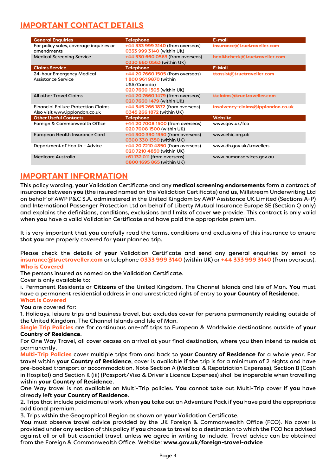# **IMPORTANT CONTACT DETAILS**

| <b>General Enquiries</b>                                                     | <b>Telephone</b>                                                                                      | E-mail                            |
|------------------------------------------------------------------------------|-------------------------------------------------------------------------------------------------------|-----------------------------------|
| For policy sales, coverage inquiries or<br>amendments                        | +44 333 999 3140 (from overseas)<br>0333 999 3140 (within UK)                                         | insurance@truetraveller.com       |
| <b>Medical Screening Service</b>                                             | +44 330 660 0563 (from overseas)<br>0330 660 0563 (within UK)                                         | healthcheck@truetraveller.com     |
| <b>Claims Service</b>                                                        | <b>Telephone</b>                                                                                      | <b>E-Mail</b>                     |
| 24-hour Emergency Medical<br>Assistance Service                              | +44 20 7660 1505 (from overseas)<br>1800 961 9870 (within<br>USA/Canada)<br>020 7660 1505 (within UK) | ttassist@truetraveller.com        |
| <b>All other Travel Claims</b>                                               | +44 20 7660 1479 (from overseas)<br>020 7660 1479 (within UK)                                         | ttclaims@truetraveller.com        |
| <b>Financial Failure Protection Claims</b><br>Also visit www.ipplondon.co.uk | +44 345 266 1872 (from overseas)<br>0345 266 1872 (within UK)                                         | insolvency-claims@ipplondon.co.uk |
| <b>Other Useful Contacts</b>                                                 | <b>Telephone</b>                                                                                      | Website                           |
| Foreign & Commonwealth Office                                                | +44 20 7008 1500 (from overseas)<br>020 7008 1500 (within UK)                                         | www.gov.uk/fco                    |
| European Health Insurance Card                                               | +44 300 330 1350 (from overseas)<br>0300 330 1350 (within UK)                                         | www.ehic.org.uk                   |
| Department of Health - Advice                                                | +44 20 7210 4850 (from overseas)<br>020 7210 4850 (within UK)                                         | www.dh.gov.uk/travellers          |
| <b>Medicare Australia</b>                                                    | +61 132 011 (from overseas)<br>0800 1695 865 (within UK)                                              | www.humanservices.gov.au          |

## **IMPORTANT INFORMATION**

This policy wording, **your** Validation Certificate and any **medical screening endorsements** form a contract of insurance between **you** (the insured named on the Validation Certificate) and **us**, Millstream Underwriting Ltd on behalf of AWP P&C S.A. administered in the United Kingdom by AWP Assistance UK Limited (Sections A-P) and International Passenger Protection Ltd on behalf of Liberty Mutual Insurance Europe SE (Section Q only) and explains the definitions, conditions, exclusions and limits of cover **we** provide. This contract is only valid when **you** have a valid Validation Certificate and have paid the appropriate premium.

It is very important that **you** carefully read the terms, conditions and exclusions of this insurance to ensure that **you** are properly covered for **your** planned trip.

Please check the details of **your** Validation Certificate and send any general enquiries by email to **insurance@truetraveller.com** or telephone **0333 999 3140** (within UK) or **+44 333 999 3140** (from overseas). **Who is Covered** 

The persons insured as named on the Validation Certificate.

Cover is only available to:

i. Permanent Residents or **Citizens** of the United Kingdom, The Channel Islands and Isle of Man. **You** must have a permanent residential address in and unrestricted right of entry to **your Country of Residence**. **What is Covered** 

**You** are covered for:

1. Holidays, leisure trips and business travel, but excludes cover for persons permanently residing outside of the United Kingdom, The Channel Islands and Isle of Man.

**Single Trip Policies** are for continuous one-off trips to European & Worldwide destinations outside of **your Country of Residence**.

For One Way Travel, all cover ceases on arrival at your final destination, where you then intend to reside at permanently.

**Multi-Trip Policies** cover multiple trips from and back to **your Country of Residence** for a whole year. For travel within **your Country of Residence**, cover is available if the trip is for a minimum of 2 nights and have pre-booked transport or accommodation. Note Section A (Medical & Repatriation Expenses), Section B (Cash in Hospital) and Section K (iii) (Passport/Visa & Driver's Licence Expenses) shall be inoperable when travelling within **your Country of Residence**.

One Way travel is not available on Multi-Trip policies. **You** cannot take out Multi-Trip cover if **you** have already left **your Country of Residence**.

2. Trips that include paid manual work when you take out an Adventure Pack if **you** have paid the appropriate additional premium.

3. Trips within the Geographical Region as shown on **your** Validation Certificate.

You must observe travel advice provided by the UK Foreign & Commonwealth Office (FCO). No cover is provided under any section of this policy if **you** choose to travel to a destination to which the FCO has advised against all or all but essential travel, unless **we** agree in writing to include. Travel advice can be obtained from the Foreign & Commonwealth Office. Website: **www.gov.uk/foreign-travel-advice**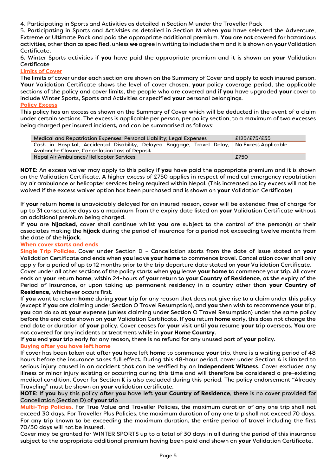4. Participating in Sports and Activities as detailed in Section M under the Traveller Pack

5. Participating in Sports and Activities as detailed in Section M when **you** have selected the Adventure, Extreme or Ultimate Pack and paid the appropriate additional premium. **You** are not covered for hazardous activities, other than as specified, unless **we** agree in writing to include them and it is shown on your Validation Certificate.

6. Winter Sports activities if **you** have paid the appropriate premium and it is shown on **your** Validation Certificate

#### **Limits of Cover**

The limits of cover under each section are shown on the Summary of Cover and apply to each insured person. **Your** Validation Certificate shows the level of cover chosen, **your** policy coverage period, the applicable sections of the policy and cover limits, the people who are covered and if **you** have upgraded **your** cover to include Winter Sports, Sports and Activities or specified **your** personal belongings.

#### **Policy Excess**

This policy has an excess as shown on the Summary of Cover which will be deducted in the event of a claim under certain sections. The excess is applicable per person, per policy section, to a maximum of two excesses being charged per insured incident, and can be summarised as follows:

| £125/£75/£35<br>Medical and Repatriation Expenses; Personal Liability; Legal Expenses        |      |  |  |
|----------------------------------------------------------------------------------------------|------|--|--|
| Cash in Hospital, Accidental Disability, Delayed Baggage, Travel Delay, No Excess Applicable |      |  |  |
| Avalanche Closure, Cancellation Loss of Deposit                                              |      |  |  |
| Nepal Air Ambulance/Helicopter Services                                                      | £750 |  |  |

**NOTE**: An excess waiver may apply to this policy if **you** have paid the appropriate premium and it is shown on the Validation Certificate. A higher excess of £750 applies in respect of medical emergency repatriation by air ambulance or helicopter services being required within Nepal. (This increased policy excess will not be waived if the excess waiver option has been purchased and is shown on **your** Validation Certificate)

If **your** return **home** is unavoidably delayed for an insured reason, cover will be extended free of charge for up to 31 consecutive days as a maximum from the expiry date listed on **your** Validation Certificate without an additional premium being charged.

If **you** are **hijacked**, cover shall continue whilst **you** are subject to the control of the person(s) or their associates making the **hijack** during the period of insurance for a period not exceeding twelve months from the date of the **hijack**.

#### **When cover starts and ends**

**Single Trip Policies.** Cover under Section D – Cancellation starts from the date of issue stated on **your** Validation Certificate and ends when **you** leave **your home** to commence travel. Cancellation cover shall only apply for a period of up to 12 months prior to the trip departure date stated on **your** Validation Certificate. Cover under all other sections of the policy starts when you leave **your home** to commence your trip. All cover ends on **your**return **home**, within 24-hours of **your** return to **your Country of Residence**, at the expiry of the Period of Insurance, or upon taking up permanent residency in a country other than **your Country of** 

#### **Residence**, whichever occurs first. ,

If **you** want to return **home** during **your** trip for any reason that does not give rise to a claim under this policy (except if **you** are claiming under Section O Travel Resumption), and **you** then wish to recommence **your** trip, **you** can do so at **your** expense (unless claiming under Section O Travel Resumption) under the same policy before the end date shown on **your** Validation Certificate. If **you** return **home** early, this does not change the end date or duration of **your** policy. Cover ceases for **your** visit until **you** resume **your** trip overseas. **You** are not covered for any incidents or treatment while in **your Home Country**.

If **you** end **your** trip early for any reason, there is no refund for any unused part of **your** policy.

#### **Buying after you have left home**

If cover has been taken out after **you** have left **home** to commence **your** trip, there is a waiting period of 48 hours before the insurance takes full effect. During this 48-hour period, cover under Section A is limited to serious injury caused in an accident that can be verified by an **Independent Witness**. Cover excludes any illness or minor injury existing or occurring during this time and will therefore be considered a pre-existing medical condition. Cover for Section K is also excluded during this period. The policy endorsement "Already Traveling" must be shown on **your** validation certificate.

**NOTE**: If **you** buy this policy after **you** have left **your Country of Residence**, there is no cover provided for Cancellation (Section D) of **your** trip

**Multi-Trip Policies.** For True Value and Traveller Policies, the maximum duration of any one trip shall not exceed 30 days. For Traveller Plus Policies, the maximum duration of any one trip shall not exceed 70 days. For any trip known to be exceeding the maximum duration, the entire period of travel including the first 70/30 days will not be insured.

Cover may be granted for WINTER SPORTS up to a total of 30 days in all during the period of this insurance subject to the appropriate additional premium having been paid and shown on **your** Validation Certificate.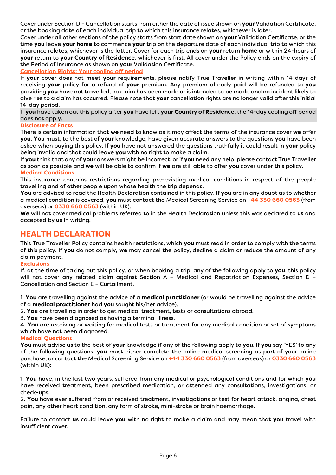Cover under Section D – Cancellation starts from either the date of issue shown on **your** Validation Certificate, or the booking date of each individual trip to which this insurance relates, whichever is later.

Cover under all other sections of the policy starts from start date shown on **your** Validation Certificate, or the time **you** leave **your home** to commence **your** trip on the departure date of each individual trip to which this insurance relates, whichever is the latter. Cover for each trip ends on **your** return **home** or within 24-hours of **your** return to **your Country of Residence**, whichever is first. All cover under the Policy ends on the expiry of the Period of Insurance as shown on **your** Validation Certificate.

#### **Cancellation Rights: Your cooling off period**

If **your** cover does not meet **your** requirements, please notify True Traveller in writing within 14 days of receiving **your** policy for a refund of **your** premium. Any premium already paid will be refunded to **you** providing **you** have not travelled, no claim has been made or is intended to be made and no incident likely to give rise to a claim has occurred. Please note that **your** cancellation rights are no longer valid after this initial 14-day period.

If **you** have taken out this policy after **you** have left **your Country of Residence**, the 14-day cooling off period does not apply.

#### **Disclosure of Facts**

There is certain information that **we** need to know as it may affect the terms of the insurance cover **we** offer **you**. **You** must, to the best of **your** knowledge, have given accurate answers to the questions **you**have been asked when buying this policy. If **you** have not answered the questions truthfully it could result in **your** policy being invalid and that could leave **you** with no right to make a claim.

If **you** think that any of **your** answers might be incorrect, or if **you** need any help, please contact True Traveller as soon as possible and **we** will be able to confirm if **we** are still able to offer **you** cover under this policy. **Medical Conditions** 

This insurance contains restrictions regarding pre-existing medical conditions in respect of the people travelling and of other people upon whose health the trip depends.

**You** are advised to read the Health Declaration contained in this policy. If **you** are in any doubt as to whether a medical condition is covered, **you** must contact the Medical Screening Service on **+44 330 660 0563** (from overseas) or **0330 660 0563** (within UK).

**We** will not cover medical problems referred to in the Health Declaration unless this was declared to **us** and accepted by **us** in writing.

## **HEALTH DECLARATION**

This True Traveller Policy contains health restrictions, which **you** must read in order to comply with the terms of this policy. If **you** do not comply, **we** may cancel the policy, decline a claim or reduce the amount of any claim payment.

#### **Exclusions**

If, at the time of taking out this policy, or when booking a trip, any of the following apply to **you**, this policy will not cover any related claim against Section A - Medical and Repatriation Expenses, Section D -Cancellation and Section E – Curtailment.

1. **You** are travelling against the advice of a **medical practitioner** (or would be travelling against the advice of a **medical practitioner** had **you** sought his/her advice).

2. **You** are travelling in order to get medical treatment, tests or consultations abroad.

3. **You** have been diagnosed as having a terminal illness.

4. **You** are receiving or waiting for medical tests or treatment for any medical condition or set of symptoms which have not been diagnosed.

#### **Medical Questions**

**You** must advise **us** to the best of **your** knowledge if any of the following apply to **you**. If **you** say 'YES' to any of the following questions, **you** must either complete the online medical screening as part of your online purchase, or contact the Medical Screening Service on **+44 330 660 0563** (from overseas) or **0330 660 0563** (within UK):

1. **You** have, in the last two years, suffered from any medical or psychological conditions and for which **you**  have received treatment, been prescribed medication, or attended any consultations, investigations, or check-ups.

2. **You** have ever suffered from or received treatment, investigations or test for heart attack, angina, chest pain, any other heart condition, any form of stroke, mini-stroke or brain haemorrhage.

Failure to contact **us** could leave **you** with no right to make a claim and may mean that **you** travel with insufficient cover.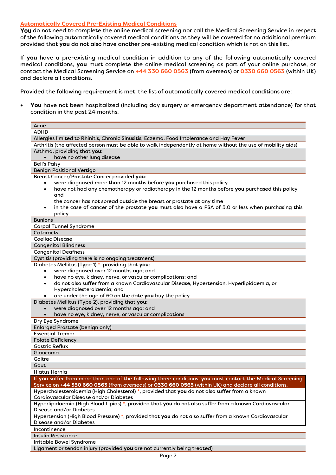#### **Automatically Covered Pre-Existing Medical Conditions**

You do not need to complete the online medical screening nor call the Medical Screening Service in respect of the following automatically covered medical conditions as they will be covered for no additional premium provided that **you** do not also have another pre-existing medical condition which is not on this list.

If **you** have a pre-existing medical condition in addition to any of the following automatically covered medical conditions, **you** must complete the online medical screening as part of your online purchase, or contact the Medical Screening Service on **+44 330 660 0563** (from overseas) or **0330 660 0563** (within UK) and declare all conditions.

Provided the following requirement is met, the list of automatically covered medical conditions are:

 **You** have not been hospitalized (including day surgery or emergency department attendance) for that condition in the past 24 months.

| Acne                                                                                                                                                                                                               |  |  |
|--------------------------------------------------------------------------------------------------------------------------------------------------------------------------------------------------------------------|--|--|
| <b>ADHD</b>                                                                                                                                                                                                        |  |  |
| Allergies limited to Rhinitis, Chronic Sinusitis, Eczema, Food Intolerance and Hay Fever                                                                                                                           |  |  |
| Arthritis (the affected person must be able to walk independently at home without the use of mobility aids)                                                                                                        |  |  |
| Asthma, providing that you:                                                                                                                                                                                        |  |  |
| have no other lung disease                                                                                                                                                                                         |  |  |
| <b>Bell's Palsy</b>                                                                                                                                                                                                |  |  |
| <b>Benign Positional Vertigo</b>                                                                                                                                                                                   |  |  |
| Breast Cancer/Prostate Cancer provided you:                                                                                                                                                                        |  |  |
| were diagnosed more than 12 months before you purchased this policy                                                                                                                                                |  |  |
| have not had any chemotherapy or radiotherapy in the 12 months before you purchased this policy<br>$\bullet$                                                                                                       |  |  |
| and                                                                                                                                                                                                                |  |  |
| the cancer has not spread outside the breast or prostate at any time                                                                                                                                               |  |  |
| in the case of cancer of the prostate you must also have a PSA of 3.0 or less when purchasing this<br>$\bullet$                                                                                                    |  |  |
| policy                                                                                                                                                                                                             |  |  |
| <b>Bunions</b>                                                                                                                                                                                                     |  |  |
| <b>Carpal Tunnel Syndrome</b>                                                                                                                                                                                      |  |  |
| Cataracts                                                                                                                                                                                                          |  |  |
| <b>Coeliac Disease</b>                                                                                                                                                                                             |  |  |
| <b>Congenital Blindness</b>                                                                                                                                                                                        |  |  |
| <b>Congenital Deafness</b>                                                                                                                                                                                         |  |  |
| Cystitis (providing there is no ongoing treatment)                                                                                                                                                                 |  |  |
| Diabetes Mellitus (Type 1) *, providing that you:                                                                                                                                                                  |  |  |
| were diagnosed over 12 months ago; and<br>$\bullet$                                                                                                                                                                |  |  |
| have no eye, kidney, nerve, or vascular complications; and<br>$\bullet$                                                                                                                                            |  |  |
| do not also suffer from a known Cardiovascular Disease, Hypertension, Hyperlipidaemia, or                                                                                                                          |  |  |
| Hypercholesterolaemia; and                                                                                                                                                                                         |  |  |
| are under the age of 60 on the date you buy the policy                                                                                                                                                             |  |  |
| Diabetes Mellitus (Type 2), providing that you:                                                                                                                                                                    |  |  |
| were diagnosed over 12 months ago; and                                                                                                                                                                             |  |  |
| have no eye, kidney, nerve, or vascular complications<br>$\bullet$                                                                                                                                                 |  |  |
| Dry Eye Syndrome                                                                                                                                                                                                   |  |  |
| <b>Enlarged Prostate (benign only)</b>                                                                                                                                                                             |  |  |
| <b>Essential Tremor</b>                                                                                                                                                                                            |  |  |
| <b>Folate Deficiency</b><br><b>Gastric Reflux</b>                                                                                                                                                                  |  |  |
|                                                                                                                                                                                                                    |  |  |
| Glaucoma                                                                                                                                                                                                           |  |  |
| Goitre                                                                                                                                                                                                             |  |  |
| Gout<br>Hiatus Hernia                                                                                                                                                                                              |  |  |
|                                                                                                                                                                                                                    |  |  |
| If you suffer from more than one of the following three conditions, you must contact the Medical Screening<br>Service on +44 330 660 0563 (from overseas) or 0330 660 0563 (within UK) and declare all conditions. |  |  |
| Hypercholesterolaemia (High Cholesterol) *, provided that you do not also suffer from a known                                                                                                                      |  |  |
| Cardiovascular Disease and/or Diabetes                                                                                                                                                                             |  |  |
| Hyperlipidaemia (High Blood Lipids) *, provided that you do not also suffer from a known Cardiovascular                                                                                                            |  |  |
| Disease and/or Diabetes                                                                                                                                                                                            |  |  |
| Hypertension (High Blood Pressure) *, provided that you do not also suffer from a known Cardiovascular                                                                                                             |  |  |
| Disease and/or Diabetes                                                                                                                                                                                            |  |  |
| Incontinence                                                                                                                                                                                                       |  |  |
| <b>Insulin Resistance</b>                                                                                                                                                                                          |  |  |
| Irritable Bowel Syndrome                                                                                                                                                                                           |  |  |
| Ligament or tendon injury (provided you are not currently being treated)                                                                                                                                           |  |  |
|                                                                                                                                                                                                                    |  |  |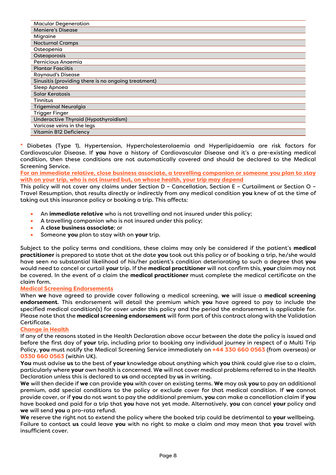| <b>Macular Degeneration</b>                         |
|-----------------------------------------------------|
| <b>Meniere's Disease</b>                            |
| Migraine                                            |
| <b>Nocturnal Cramps</b>                             |
| Osteopenia                                          |
| Osteoporosis                                        |
| Pernicious Anaemia                                  |
| <b>Plantar Fasciitis</b>                            |
| <b>Raynaud's Disease</b>                            |
| Sinusitis (providing there is no ongoing treatment) |
| Sleep Apnoea                                        |
| Solar Keratosis                                     |
| Tinnitus                                            |
| <b>Trigeminal Neuralgia</b>                         |
| <b>Trigger Finger</b>                               |
| Underactive Thyroid (Hypothyroidism)                |
| Varicose veins in the legs                          |
| Vitamin B12 Deficiency                              |

**\*** Diabetes (Type 1), Hypertension, Hypercholesterolaemia and Hyperlipidaemia are risk factors for Cardiovascular Disease. If **you** have a history of Cardiovascular Disease and it's a pre-existing medical condition, then these conditions are not automatically covered and should be declared to the Medical Screening Service.

**For an immediate relative, close business associate, a travelling companion or someone you plan to stay with on your trip, who is not insured but, on whose health, your trip may depend** 

This policy will not cover any claims under Section D – Cancellation, Section E – Curtailment or Section O – Travel Resumption, that results directly or indirectly from any medical condition **you** knew of at the time of taking out this insurance policy or booking a trip. This affects:

- An **immediate relative** who is not travelling and not insured under this policy;
- A travelling companion who is not insured under this policy;
- A **close business associate**; or
- Someone **you** plan to stay with on **your** trip.

Subject to the policy terms and conditions, these claims may only be considered if the patient's **medical practitioner** is prepared to state that at the date **you** took out this policy or of booking a trip, he/she would have seen no substantial likelihood of his/her patient's condition deteriorating to such a degree that **you** would need to cancel or curtail **your** trip. If the **medical practitioner** will not confirm this, **your** claim may not be covered. In the event of a claim the **medical practitioner** must complete the medical certificate on the claim form.

#### **Medical Screening Endorsements**

When **we** have agreed to provide cover following a medical screening, **we** will issue a **medical screening endorsement**. This endorsement will detail the premium which **you** have agreed to pay to include the specified medical condition(s) for cover under this policy and the period the endorsement is applicable for. Please note that the **medical screening endorsement** will form part of this contract along with the Validation Certificate.

#### **Change in Health**

If any of the reasons stated in the Health Declaration above occur between the date the policy is issued and before the first day of **your** trip, including prior to booking any individual journey in respect of a Multi Trip Policy, **you** must notify the Medical Screening Service immediately on **+44 330 660 0563** (from overseas) or **0330 660 0563** (within UK).

**You** must advise **us** to the best of **your** knowledge about anything which **you** think could give rise to a claim, particularly where **your** own health is concerned. W**e** will not cover medical problems referred to in the Health Declaration unless this is declared to **us** and accepted by **us** in writing.

**We** will then decide if **we** can provide **you** with cover on existing terms. **We** may ask **you** to pay an additional premium, add special conditions to the policy or exclude cover for that medical condition. If **we** cannot provide cover, or if **you** do not want to pay the additional premium, **you** can make a cancellation claim if **you** have booked and paid for a trip that **you** have not yet made. Alternatively, **you** can cancel **your** policy and **we** will send **you** a pro-rata refund.

**We** reserve the right not to extend the policy where the booked trip could be detrimental to **your** wellbeing. Failure to contact **us** could leave **you** with no right to make a claim and may mean that **you** travel with insufficient cover.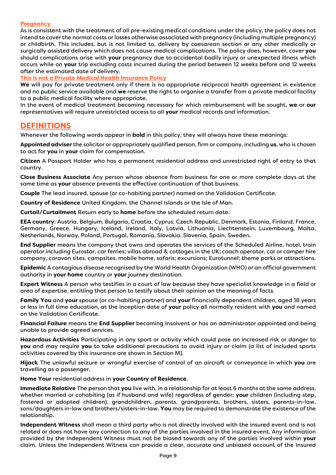#### **Pregnancy**

As is consistent with the treatment of all pre-existing medical conditions under the policy, the policy does not intend to cover the normal costs or losses otherwise associated with pregnancy (including multiple pregnancy) or childbirth. This includes, but is not limited to, delivery by caesarean section or any other medically or surgically assisted delivery which does not cause medical complications. The policy does, however, cover **you** should complications arise with **your** pregnancy due to accidental bodily injury or unexpected illness which occurs while on **your** trip excluding costs incurred during the period between 12 weeks before and 12 weeks after the estimated date of delivery.

**This is not a Private Medical Health Insurance Policy** 

**We** will pay for private treatment only if there is no appropriate reciprocal health agreement in existence and no public service available and **we** reserve the right to organise a transfer from a private medical facility to a public medical facility where appropriate.

In the event of medical treatment becoming necessary for which reimbursement will be sought, **we** or **our** representatives will require unrestricted access to all **your** medical records and information.

## **DEFINITIONS**

Whenever the following words appear in **bold** in this policy, they will always have these meanings:

**Appointed adviser** the solicitor or appropriately qualified person, firm or company, including **us**, who is chosen to act for **you** in **your** claim for compensation.

**Citizen** A Passport Holder who has a permanent residential address and unrestricted right of entry to that country.

**Close Business Associate** Any person whose absence from business for one or more complete days at the same time as **your** absence prevents the effective continuation of that business.

**Couple** The lead insured, spouse (or co-habiting partner) named on the Validation Certificate.

**Country of Residence** United Kingdom, the Channel Islands or the Isle of Man.

**Curtail/Curtailment** Return early to **home** before the scheduled return date.

**EEA country**: Austria, Belgium, Bulgaria, Croatia, Cyprus, Czech Republic, Denmark, Estonia, Finland, France, Germany, Greece, Hungary, Iceland, Ireland, Italy, Latvia, Lithuania, Liechtenstein, Luxembourg, Malta, Netherlands, Norway, Poland, Portugal, Romania, Slovakia, Slovenia, Spain, Sweden.

**End Supplier** means the company that owns and operates the services of the Scheduled Airline, hotel, train operator including Eurostar, car ferries; villas abroad & cottages in the UK; coach operator, car or camper hire company, caravan sites, campsites, mobile home, safaris; excursions; Eurotunnel; theme parks or attractions.

**Epidemic** A contagious disease recognised by the World Health Organization (WHO) or an official government authority in **your home** country or **your** journey destination.

**Expert Witness** A person who testifies in a court of law because they have specialist knowledge in a field or area of expertise, entitling that person to testify about their opinion on the meaning of facts.

**Family You** and **your** spouse (or co-habiting partner) and **your** financially dependent children, aged 18 years or less in full time education, at the inception date of **your** policy all normally resident with **you** and named on the Validation Certificate.

**Financial Failure** means the **End Supplier** becoming Insolvent or has an administrator appointed and being unable to provide agreed services.

**Hazardous Activities** Participating in any sport or activity which could pose an increased risk or danger to **you** and may require **you** to take additional precautions to avoid injury or claim (a list of included sports activities covered by this insurance are shown in Section M).

**Hijack** The unlawful seizure or wrongful exercise of control of an aircraft or conveyance in which **you** are travelling as a passenger.

**Home Your** residential address in **your Country of Residence**.

**Immediate Relative** The person that **you** live with, in a relationship for at least 6 months at the same address, whether married or cohabiting (as if husband and wife) regardless of gender; **your** children (including step, fostered or adopted children), grandchildren, parents, grandparents, brothers, sisters, parents-in-law, sons/daughters in-law and brothers/sisters-in-law. **You** may be required to demonstrate the existence of the relationship.

**Independent Witness** shall mean a third party who is not directly involved with the insured event and is not related or does not have any connection to any of the parties involved in the insured event. Any information provided by the Independent Witness must not be biased towards any of the parties involved within **your** claim. Unless the Independent Witness can provide a clear, accurate and unbiased account of the Insured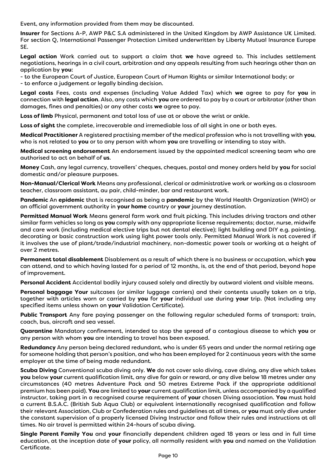Event, any information provided from them may be discounted.

**Insurer** for Sections A-P, AWP P&C S.A administered in the United Kingdom by AWP Assistance UK Limited. For section Q, International Passenger Protection Limited underwritten by Liberty Mutual Insurance Europe SE.

**Legal action** Work carried out to support a claim that **we** have agreed to. This includes settlement negotiations, hearings in a civil court, arbitration and any appeals resulting from such hearings other than an application by **you**:

- to the European Court of Justice, European Court of Human Rights or similar International body; or

- to enforce a judgement or legally binding decision.

**Legal costs** Fees, costs and expenses (including Value Added Tax) which **we** agree to pay for **you** in connection with **legal action**. Also, any costs which **you** are ordered to pay by a court or arbitrator (other than damages, fines and penalties) or any other costs **we** agree to pay.

**Loss of limb** Physical, permanent and total loss of use at or above the wrist or ankle.

**Loss of sight** the complete, irrecoverable and irremediable loss of all sight in one or both eyes.

**Medical Practitioner** A registered practising member of the medical profession who is not travelling with **you**, who is not related to **you** or to any person with whom **you** are travelling or intending to stay with.

**Medical screening endorsement** An endorsement issued by the appointed medical screening team who are authorised to act on behalf of **us**.

**Money** Cash, any legal currency, travellers' cheques, cheques, postal and money orders held by **you** for social domestic and/or pleasure purposes.

**Non-Manual/Clerical Work** Means any professional, clerical or administrative work or working as a classroom teacher, classroom assistant, au pair, child-minder, bar and restaurant work.

**Pandemic** An **epidemic** that is recognised as being a **pandemic** by the World Health Organization (WHO) or an official government authority in **your home** country or **your** journey destination.

**Permitted Manual Work** Means general farm work and fruit picking. This includes driving tractors and other similar farm vehicles so long as **you** comply with any appropriate license requirements; doctor, nurse, midwife and care work (including medical elective trips but not dental elective); light building and DIY e.g. painting, decorating or basic construction work using light power tools only. Permitted Manual Work is not covered if it involves the use of plant/trade/industrial machinery, non-domestic power tools or working at a height of over 2 metres.

**Permanent total disablement** Disablement as a result of which there is no business or occupation, which **you** can attend, and to which having lasted for a period of 12 months, is, at the end of that period, beyond hope of improvement.

**Personal Accident** Accidental bodily injury caused solely and directly by outward violent and visible means.

**Personal baggage Your** suitcases (or similar luggage carriers) and their contents usually taken on a trip, together with articles worn or carried by **you** for **your** individual use during **your** trip. (Not including any specified items unless shown on **your** Validation Certificate).

**Public Transport** Any fare paying passenger on the following regular scheduled forms of transport: train, coach, bus, aircraft and sea vessel.

**Quarantine** Mandatory confinement, intended to stop the spread of a contagious disease to which **you** or any person with whom **you** are intending to travel has been exposed.

**Redundancy** Any person being declared redundant, who is under 65 years and under the normal retiring age for someone holding that person's position, and who has been employed for 2 continuous years with the same employer at the time of being made redundant.

**Scuba Diving** Conventional scuba diving only. **We** do not cover solo diving, cave diving, any dive which takes **you** below **your** current qualification limit, any dive for gain or reward, or any dive below 18 metres under any circumstances (40 metres Adventure Pack and 50 metres Extreme Pack if the appropriate additional premium has been paid). **You** are limited to **your** current qualification limit, unless accompanied by a qualified instructor, taking part in a recognised course requirement of **your** chosen Diving association. **You** must hold a current B.S.A.C. (British Sub Aqua Club) or equivalent internationally recognised qualification and follow their relevant Association, Club or Confederation rules and guidelines at all times, or **you** must only dive under the constant supervision of a properly licensed Diving Instructor and follow their rules and instructions at all times. No air travel is permitted within 24-hours of scuba diving.

**Single Parent Family You** and **your** financially dependent children aged 18 years or less and in full time education, at the inception date of **your** policy, all normally resident with **you** and named on the Validation Certificate.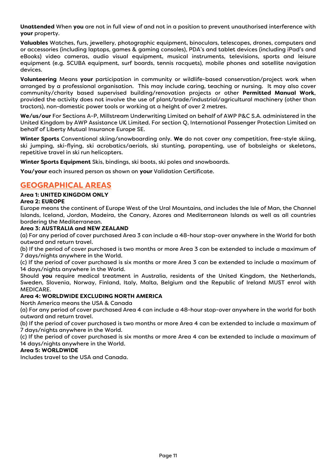**Unattended** When **you** are not in full view of and not in a position to prevent unauthorised interference with **your** property.

**Valuables** Watches, furs, jewellery, photographic equipment, binoculars, telescopes, drones, computers and or accessories (including laptops, games & gaming consoles), PDA's and tablet devices (including iPad's and eBooks) video cameras, audio visual equipment, musical instruments, televisions, sports and leisure equipment (e.g. SCUBA equipment, surf boards, tennis racquets), mobile phones and satellite navigation devices.

**Volunteering** Means **your** participation in community or wildlife-based conservation/project work when arranged by a professional organisation. This may include caring, teaching or nursing. It may also cover community/charity based supervised building/renovation projects or other **Permitted Manual Work**, provided the activity does not involve the use of plant/trade/industrial/agricultural machinery (other than tractors), non-domestic power tools or working at a height of over 2 metres.

**We/us/our** For Sections A-P, Millstream Underwriting Limited on behalf of AWP P&C S.A. administered in the United Kingdom by AWP Assistance UK Limited. For section Q, International Passenger Protection Limited on behalf of Liberty Mutual Insurance Europe SE.

**Winter Sports** Conventional skiing/snowboarding only. **We** do not cover any competition, free-style skiing, ski jumping, ski-flying, ski acrobatics/aerials, ski stunting, parapenting, use of bobsleighs or skeletons, repetitive travel in ski run helicopters.

**Winter Sports Equipment** Skis, bindings, ski boots, ski poles and snowboards.

**You/your** each insured person as shown on **your** Validation Certificate.

## **GEOGRAPHICAL AREAS**

#### **Area 1: UNITED KINGDOM ONLY**

#### **Area 2: EUROPE**

Europe means the continent of Europe West of the Ural Mountains, and includes the Isle of Man, the Channel Islands, Iceland, Jordan, Madeira, the Canary, Azores and Mediterranean Islands as well as all countries bordering the Mediterranean.

#### **Area 3: AUSTRALIA and NEW ZEALAND**

(a) For any period of cover purchased Area 3 can include a 48-hour stop-over anywhere in the World for both outward and return travel.

(b) If the period of cover purchased is two months or more Area 3 can be extended to include a maximum of 7 days/nights anywhere in the World.

(c) If the period of cover purchased is six months or more Area 3 can be extended to include a maximum of 14 days/nights anywhere in the World.

Should **you** require medical treatment in Australia, residents of the United Kingdom, the Netherlands, Sweden, Slovenia, Norway, Finland, Italy, Malta, Belgium and the Republic of Ireland MUST enrol with MEDICARE.

#### **Area 4: WORLDWIDE EXCLUDING NORTH AMERICA**

North America means the USA & Canada

(a) For any period of cover purchased Area 4 can include a 48-hour stop-over anywhere in the world for both outward and return travel.

(b) If the period of cover purchased is two months or more Area 4 can be extended to include a maximum of 7 days/nights anywhere in the World.

(c) If the period of cover purchased is six months or more Area 4 can be extended to include a maximum of 14 days/nights anywhere in the World.

#### **Area 5: WORLDWIDE**

Includes travel to the USA and Canada.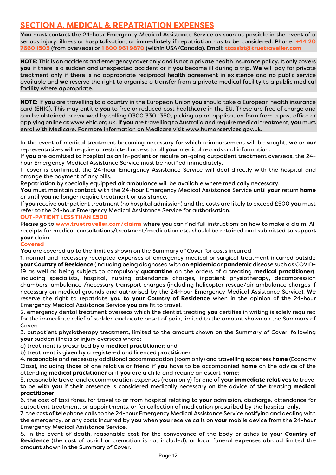# **SECTION A. MEDICAL & REPATRIATION EXPENSES**

**You** must contact the 24-hour Emergency Medical Assistance Service as soon as possible in the event of a serious injury, illness or hospitalisation, or immediately if repatriation has to be considered. Phone: **+44 20 7660 1505** (from overseas) or **1 800 961 9870** (within USA/Canada). Email: **ttassist@truetraveller.com**

**NOTE:** This is an accident and emergency cover only and is not a private health insurance policy. It only covers **you** if there is a sudden and unexpected accident or if **you** become ill during a trip. **We** will pay for private treatment only if there is no appropriate reciprocal health agreement in existence and no public service available and **we** reserve the right to organise a transfer from a private medical facility to a public medical facility where appropriate.

**NOTE:** If **you** are travelling to a country in the European Union **you** should take a European health insurance card (EHIC). This may entitle **you** to free or reduced cost healthcare in the EU. These are free of charge and can be obtained or renewed by calling 0300 330 1350, picking up an application form from a post office or applying online at www.ehic.org.uk. If **you** are travelling to Australia and require medical treatment, **you** must enrol with Medicare. For more information on Medicare visit www.humanservices.gov.uk.

In the event of medical treatment becoming necessary for which reimbursement will be sought, **we** or **our** representatives will require unrestricted access to all **your** medical records and information.

If **you** are admitted to hospital as an in-patient or require on-going outpatient treatment overseas, the 24 hour Emergency Medical Assistance Service must be notified immediately.

If cover is confirmed, the 24-hour Emergency Assistance Service will deal directly with the hospital and arrange the payment of any bills.

Repatriation by specially equipped air ambulance will be available where medically necessary.

**You** must maintain contact with the 24-hour Emergency Medical Assistance Service until **your** return **home** or until **you** no longer require treatment or assistance.

If **you** receive out-patient treatment (no hospital admission) and the costs are likely to exceed £500 **you** must refer to the 24-hour Emergency Medical Assistance Service for authorisation.

#### **OUT-PATIENT LESS THAN £500**

Please go to **www.truetraveller.com/claims** where **you** can find full instructions on how to make a claim. All receipts for medical consultations/treatment/medication etc. should be retained and submitted to support **your**claim.

#### **Covered**

**You** are covered up to the limit as shown on the Summary of Cover for costs incurred

1. normal and necessary receipted expenses of emergency medical or surgical treatment incurred outside **your Country of Residence** (including being diagnosed with an **epidemic** or **pandemic** disease such as COVID-19 as well as being subject to compulsory **quarantine** on the orders of a treating **medical practitioner**), including specialists, hospital, nursing attendance charges, inpatient physiotherapy, decompression chambers, ambulance /necessary transport charges (including helicopter rescue/air ambulance charges if necessary on medical grounds and authorised by the 24-hour Emergency Medical Assistance Service). **We** reserve the right to repatriate **you** to **your Country of Residence** when in the opinion of the 24-hour Emergency Medical Assistance Service **you** are fit to travel.

2. emergency dental treatment overseas which the dentist treating **you** certifies in writing is solely required for the immediate relief of sudden and acute onset of pain, limited to the amount shown on the Summary of Cover;

3. outpatient physiotherapy treatment, limited to the amount shown on the Summary of Cover, following **your** sudden illness or injury overseas where:

a) treatment is prescribed by a **medical practitioner**; and

b) treatment is given by a registered and licenced practitioner.

4. reasonable and necessary additional accommodation (room only) and travelling expenses **home** (Economy Class), including those of one relative or friend if **you** have to be accompanied **home** on the advice of the attending **medical practitioner** or if **you** are a child and require an escort **home**;

5. reasonable travel and accommodation expenses (room only) for one of **your immediate relatives** to travel to be with **you** if their presence is considered medically necessary on the advice of the treating **medical practitioner**.

6. the cost of taxi fares, for travel to or from hospital relating to **your** admission, discharge, attendance for outpatient treatment, or appointments, or for collection of medication prescribed by the hospital only.

7. the cost of telephone calls to the 24-hour Emergency Medical Assistance Service notifying and dealing with the emergency, or any costs incurred by **you** when **you** receive calls on **your** mobile device from the 24-hour Emergency Medical Assistance Service.

8. in the event of death, reasonable cost for the conveyance of the body or ashes to **your Country of Residence** (the cost of burial or cremation is not included), or local funeral expenses abroad limited the amount shown in the Summary of Cover.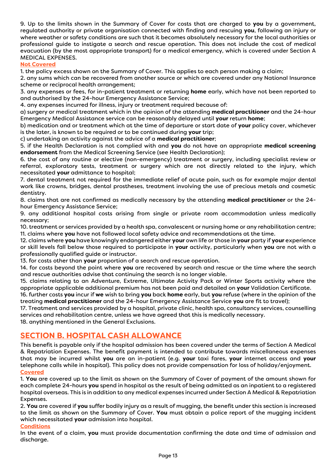9. Up to the limits shown in the Summary of Cover for costs that are charged to **you** by a government, regulated authority or private organisation connected with finding and rescuing **you**, following an injury or where weather or safety conditions are such that it becomes absolutely necessary for the local authorities or professional guide to instigate a search and rescue operation. This does not include the cost of medical evacuation (by the most appropriate transport) for a medical emergency, which is covered under Section A MEDICAL EXPENSES.

#### **Not Covered**

1. the policy excess shown on the Summary of Cover. This applies to each person making a claim;

2. any sums which can be recovered from another source or which are covered under any National Insurance scheme or reciprocal health arrangement;

3. any expenses or fees, for in-patient treatment or returning **home** early, which have not been reported to and authorised by the 24-hour Emergency Assistance Service;

4. any expenses incurred for illness, injury or treatment required because of:

a) surgery or medical treatment which in the opinion of the attending **medical practitioner** and the 24-hour Emergency Medical Assistance service can be reasonably delayed until **your** return **home**;

b) medication and or treatment which at the time of departure or start date of **your** policy cover, whichever is the later, is known to be required or to be continued during **your** trip;

c) undertaking an activity against the advice of a **medical practitioner**;

5. if the Health Declaration is not complied with and **you** do not have an appropriate **medical screening endorsement** from the Medical Screening Service (see Health Declaration);

6. the cost of any routine or elective (non-emergency) treatment or surgery, including specialist review or referral, exploratory tests, treatment or surgery which are not directly related to the injury, which necessitated **your** admittance to hospital;

7. dental treatment not required for the immediate relief of acute pain, such as for example major dental work like crowns, bridges, dental prostheses, treatment involving the use of precious metals and cosmetic dentistry.

8. claims that are not confirmed as medically necessary by the attending **medical practitioner** or the 24 hour Emergency Assistance Service;

9. any additional hospital costs arising from single or private room accommodation unless medically necessary;

10. treatment or services provided by a health spa, convalescent or nursing home or any rehabilitation centre; 11. claims where **you** have not followed local safety advice and recommendations at the time.

12. claims where **you** have knowingly endangered either **your** own life or those in **your** party if **your** experience or skill levels fall below those required to participate in **your** activity, particularly when **you** are not with a professionally qualified guide or instructor.

13. for costs other than **your** proportion of a search and rescue operation.

14. for costs beyond the point where **you** are recovered by search and rescue or the time where the search and rescue authorities advise that continuing the search is no longer viable.

15. claims relating to an Adventure, Extreme, Ultimate Activity Pack or Winter Sports activity where the appropriate applicable additional premium has not been paid and detailed on **your** Validation Certificate.

16. further costs **you** incur if **we** wish to bring **you** back **home** early, but **you** refuse (where in the opinion of the treating **medical practitioner** and the 24-hour Emergency Assistance Service **you** are fit to travel);

17. Treatment and services provided by a hospital, private clinic, health spa, consultancy services, counselling services and rehabilitation centre, unless we have agreed that this is medically necessary.

18. anything mentioned in the General Exclusions.

## **SECTION B. HOSPITAL CASH ALLOWANCE**

This benefit is payable only if the hospital admission has been covered under the terms of Section A Medical & Repatriation Expenses. The benefit payment is intended to contribute towards miscellaneous expenses that may be incurred whilst **you** are an in-patient (e.g. **your** taxi fares, **your** internet access and **your** telephone calls while in hospital). This policy does not provide compensation for loss of holiday/enjoyment. **Covered** 

1. **You** are covered up to the limit as shown on the Summary of Cover of payment of the amount shown for each complete 24-hours **you** spend in hospital as the result of being admitted as an inpatient to a registered hospital overseas. This is in addition to any medical expenses incurred under Section A Medical & Repatriation Expenses.

2. **You** are covered if **you** suffer bodily injury as a result of mugging, the benefit under this section is increased to the limit as shown on the Summary of Cover. **You** must obtain a police report of the mugging incident which necessitated **your** admission into hospital.

#### **Conditions**

In the event of a claim, **you** must provide documentation confirming the date and time of admission and discharge.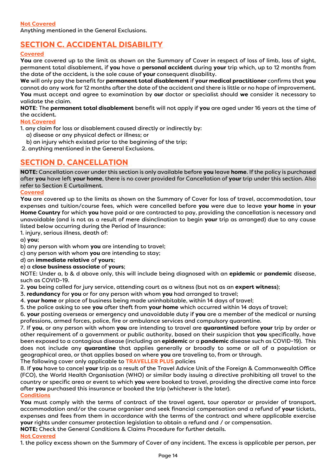# **SECTION C. ACCIDENTAL DISABILITY**

#### **Covered**

**You** are covered up to the limit as shown on the Summary of Cover in respect of loss of limb, loss of sight, permanent total disablement, if **you** have a **personal accident** during **your** trip which, up to 12 months from the date of the accident, is the sole cause of your consequent disability.

**We** will only pay the benefit for **permanent total disablement** if **your medical practitioner** confirms that **you** cannot do any work for 12 months after the date of the accident and there is little or no hope of improvement. **You** must accept and agree to examination by **our** doctor or specialist should **we** consider it necessary to validate the claim.

**NOTE**: The **permanent total disablement** benefit will not apply if **you** are aged under 16 years at the time of the accident.

#### **Not Covered**

1. any claim for loss or disablement caused directly or indirectly by:

- a) disease or any physical defect or illness; or
- b) an injury which existed prior to the beginning of the trip;
- 2. anything mentioned in the General Exclusions.

## **SECTION D. CANCELLATION**

**NOTE:** Cancellation cover under this section is only available before **you** leave **home**. If the policy is purchased after **you** have left **your home**, there is no cover provided for Cancellation of **your** trip under this section. Also refer to Section E Curtailment.

#### **Covered**

**You** are covered up to the limits as shown on the Summary of Cover for loss of travel, accommodation, tour expenses and tuition/course fees, which were cancelled before **you** were due to leave **your home** in **your Home Country** for which **you** have paid or are contracted to pay, providing the cancellation is necessary and unavoidable (and is not as a result of mere disinclination to begin **your** trip as arranged) due to any cause listed below occurring during the Period of Insurance:

1. injury, serious illness, death of:

a) **you**;

b) any person with whom **you** are intending to travel;

c) any person with whom **you** are intending to stay;

d) an **immediate relative** of **yours**;

#### e) a **close business associate** of **yours**;

NOTE: Under a, b & d above only, this will include being diagnosed with an **epidemic** or **pandemic** disease, such as COVID-19.

2. **you** being called for jury service, attending court as a witness (but not as an **expert witness**);

3. **redundancy** for **you** or for any person with whom **you** had arranged to travel;

4. **your home** or place of business being made uninhabitable, within 14 days of travel;

5. the police asking to see **you** after theft from **your home** which occurred within 14 days of travel;

6. **your** posting overseas or emergency and unavoidable duty if **you** are a member of the medical or nursing professions, armed forces, police, fire or ambulance services and compulsory quarantine.

7. If **you**, or any person with whom **you** are intending to travel are **quarantined** before **your** trip by order or other requirement of a government or public authority, based on their suspicion that **you** specifically, have been exposed to a contagious disease (including an **epidemic** or a **pandemic** disease such as COVID-19). This does not include any **quarantine** that applies generally or broadly to some or all of a population or geographical area, or that applies based on where **you** are traveling to, from or through.

The following cover only applicable to **TRAVELLER PLUS** policies

8. If **you** have to cancel **your** trip as a result of the Travel Advice Unit of the Foreign & Commonwealth Office (FCO), the World Health Organisation (WHO) or similar body issuing a directive prohibiting all travel to the country or specific area or event to which **you** were booked to travel, providing the directive came into force after **you** purchased this insurance or booked the trip (whichever is the later).

#### **Conditions**

**You** must comply with the terms of contract of the travel agent, tour operator or provider of transport, accommodation and/or the course organiser and seek financial compensation and a refund of **your** tickets, expenses and fees from them in accordance with the terms of the contract and where applicable exercise **your** rights under consumer protection legislation to obtain a refund and / or compensation.

**NOTE**: Check the General Conditions & Claims Procedure for further details. :

#### **Not Covered**

1. the policy excess shown on the Summary of Cover of any incident. The excess is applicable per person, per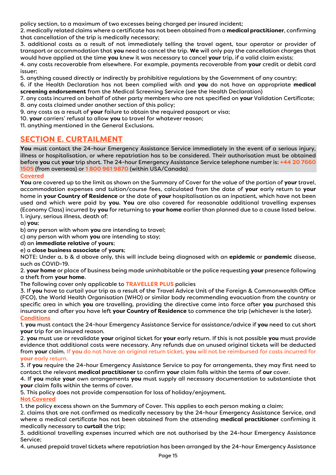policy section, to a maximum of two excesses being charged per insured incident;

2. medically related claims where a certificate has not been obtained from a **medical practitioner**, confirming that cancellation of the trip is medically necessary;

3. additional costs as a result of not immediately telling the travel agent, tour operator or provider of transport or accommodation that **you** need to cancel the trip. **We** will only pay the cancellation charges that would have applied at the time **you** knew it was necessary to cancel **your** trip, if a valid claim exists;

4. any costs recoverable from elsewhere. For example, payments recoverable from **your** credit or debit card issuer;

5. anything caused directly or indirectly by prohibitive regulations by the Government of any country;

6. if the Health Declaration has not been complied with and **you** do not have an appropriate **medical screening endorsement** from the Medical Screening Service (see the Health Declaration)

7. any costs incurred on behalf of other party members who are not specified on **your** Validation Certificate; 8. any costs claimed under another section of this policy;

9. any costs as a result of **your** failure to obtain the required passport or visa;

10. **your** carriers' refusal to allow **you** to travel for whatever reason;

11. anything mentioned in the General Exclusions.

## **SECTION E. CURTAILMENT**

**You** must contact the 24-hour Emergency Assistance Service immediately in the event of a serious injury, illness or hospitalisation, or where repatriation has to be considered. Their authorisation must be obtained before **you** cut **your** trip short. The 24-hour Emergency Assistance Service telephone number is: **+44 20 7660 1505** (from overseas) or **1 800 961 9870** (within USA/Canada)

#### **Covered**

**You** are covered up to the limit as shown on the Summary of Cover for the value of the portion of **your** travel, accommodation expenses and tuition/course fees, calculated from the date of **your** early return to **your** home in **your Country of Residence** or the date of **your** hospitalisation as an inpatient, which have not been used and which were paid by **you**. **You** are also covered for reasonable additional travelling expenses (Economy Class) incurred by **you** for returning to **your home** earlier than planned due to a cause listed below. 1. injury, serious illness, death of:

a) **you**;

b) any person with whom **you** are intending to travel;

c) any person with whom **you** are intending to stay;

d) an **immediate relative** of **yours**;

#### e) a **close business associate** of **yours**;

NOTE: Under a, b & d above only, this will include being diagnosed with an **epidemic** or **pandemic** disease, such as COVID-19.

2. **your home** or place of business being made uninhabitable or the police requesting **your** presence following a theft from **your home**.

The following cover only applicable to **TRAVELLER PLUS** policies

3. If **you** have to curtail your trip as a result of the Travel Advice Unit of the Foreign & Commonwealth Office (FCO), the World Health Organisation (WHO) or similar body recommending evacuation from the country or specific area in which **you** are travelling, providing the directive came into force after **you** purchased this insurance and after you have left **your Country of Residence** to commence the trip (whichever is the later). **Conditions** 

1. **you** must contact the 24-hour Emergency Assistance Service for assistance/advice if **you** need to cut short **your** trip for an insured reason.

2. **you** must use or revalidate **your** original ticket for **your** early return. If this is not possible **you** must provide evidence that additional costs were necessary. Any refunds due on unused original tickets will be deducted from **your** claim. If **you** do not have an original return ticket, **you** will not be reimbursed for costs incurred for **your** early return.

3. if **you** require the 24-hour Emergency Assistance Service to pay for arrangements, they may first need to contact the relevant **medical practitioner** to confirm **your** claim falls within the terms of **our** cover.

4. If **you** make **your** own arrangements **you** must supply all necessary documentation to substantiate that **your** claim falls within the terms of cover.

5. This policy does not provide compensation for loss of holiday/enjoyment.

#### **Not Covered**

1. the policy excess shown on the Summary of Cover. This applies to each person making a claim;

2. claims that are not confirmed as medically necessary by the 24-hour Emergency Assistance Service, and where a medical certificate has not been obtained from the attending **medical practitioner** confirming it medically necessary to **curtail** the trip;

3. additional travelling expenses incurred which are not authorised by the 24-hour Emergency Assistance Service;

4. unused prepaid travel tickets where repatriation has been arranged by the 24-hour Emergency Assistance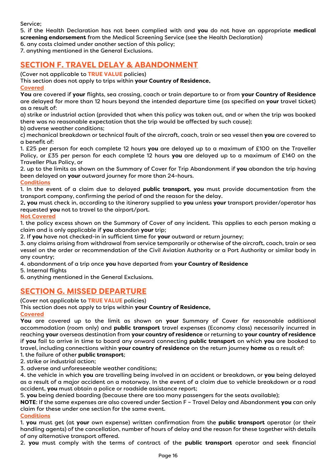Service;

5. if the Health Declaration has not been complied with and **you** do not have an appropriate **medical screening endorsement** from the Medical Screening Service (see the Health Declaration)

6. any costs claimed under another section of this policy;

7. anything mentioned in the General Exclusions.

## **SECTION F. TRAVEL DELAY & ABANDONMENT**

(Cover not applicable to **TRUE VALUE** policies)

This section does not apply to trips within **your Country of Residence**.

**Covered** 

**You** are covered if **your**flights, sea crossing, coach or train departure to or from **your Country of Residence** are delayed for more than 12 hours beyond the intended departure time (as specified on **your** travel ticket) as a result of:

a) strike or industrial action (provided that when this policy was taken out, and or when the trip was booked there was no reasonable expectation that the trip would be affected by such cause);

b) adverse weather conditions;

c) mechanical breakdown or technical fault of the aircraft, coach, train or sea vessel then **you** are covered to a benefit of:

1. £25 per person for each complete 12 hours **you** are delayed up to a maximum of £100 on the Traveller Policy, or £35 per person for each complete 12 hours **you** are delayed up to a maximum of £140 on the Traveller Plus Policy, or

2. up to the limits as shown on the Summary of Cover for Trip Abandonment if **you** abandon the trip having been delayed on **your** outward journey for more than 24-hours.

#### **Conditions**

1. In the event of a claim due to delayed **public transport**, **you** must provide documentation from the transport company, confirming the period of and the reason for the delay.

2. **you** must check in, according to the itinerary supplied to **you** unless **your** transport provider/operator has requested **you** not to travel to the airport/port.

#### **Not Covered**

1. the policy excess shown on the Summary of Cover of any incident. This applies to each person making a claim and is only applicable if **you** abandon **your** trip;

2. If **you** have not checked-in in sufficient time for **your** outward or return journey;

3. any claims arising from withdrawal from service temporarily or otherwise of the aircraft, coach, train or sea vessel on the order or recommendation of the Civil Aviation Authority or a Port Authority or similar body in any country;

4. abandonment of a trip once **you**have departed from **your Country of Residence**

5. Internal flights

6. anything mentioned in the General Exclusions.

## **SECTION G. MISSED DEPARTURE**

(Cover not applicable to **TRUE VALUE** policies)

This section does not apply to trips within **your Country of Residence**.

#### **Covered**

**You** are covered up to the limit as shown on **your** Summary of Cover for reasonable additional accommodation (room only) and **public transport** travel expenses (Economy class) necessarily incurred in reaching **your** overseas destination from **your country of residence** or returning to **your country of residence** if **you** fail to arrive in time to board any onward connecting **public transport** on which **you** are booked to travel, including connections within **your country of residence**on the return journey **home**as a result of:

1. the failure of other **public transport**;

2. strike or industrial action;

3. adverse and unforeseeable weather conditions;

4. the vehicle in which **you** are travelling being involved in an accident or breakdown, or **you** being delayed as a result of a major accident on a motorway. In the event of a claim due to vehicle breakdown or a road accident, **you** must obtain a police or roadside assistance report;

5. **you** being denied boarding (because there are too many passengers for the seats available);

**NOTE**: If the same expenses are also covered under Section F – Travel Delay and Abandonment **you** can only claim for these under one section for the same event.

#### **Conditions**

1. **you** must get (at **your** own expense) written confirmation from the **public transport** operator (or their handling agents) of the cancellation, number of hours of delay and the reason for these together with details of any alternative transport offered.

2. **you** must comply with the terms of contract of the **public transport** operator and seek financial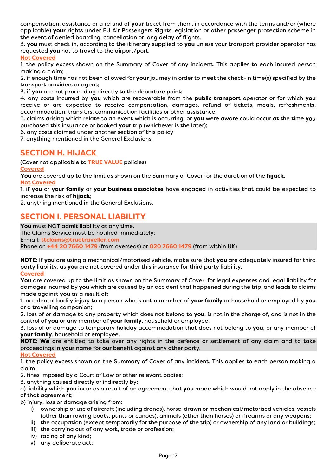compensation, assistance or a refund of **your** ticket from them, in accordance with the terms and/or (where applicable) **your**rights under EU Air Passengers Rights legislation or other passenger protection scheme in the event of denied boarding, cancellation or long delay of flights.

3. **you** must check in, according to the itinerary supplied to **you** unless your transport provider operator has requested **you** not to travel to the airport/port.

#### **Not Covered**

1. the policy excess shown on the Summary of Cover of any incident. This applies to each insured person making a claim;

2. if enough time has not been allowed for **your** journey in order to meet the check-in time(s) specified by the transport providers or agent;

3. if **you** are not proceeding directly to the departure point;

4. any costs incurred by **you** which are recoverable from the **public transport** operator or for which **you** receive or are expected to receive compensation, damages, refund of tickets, meals, refreshments, accommodation, transfers, communication facilities or other assistance;

5. claims arising which relate to an event which is occurring, or **you** were aware could occur at the time you purchased this insurance or booked **your** trip (whichever is the later);

6. any costs claimed under another section of this policy

7. anything mentioned in the General Exclusions.

## **SECTION H. HIJACK**

(Cover not applicable to **TRUE VALUE** policies) **Covered** 

**You** are covered up to the limit as shown on the Summary of Cover for the duration of the **hijack**.

**Not Covered** 

1. if **you** or **your family** or **your business associates** have engaged in activities that could be expected to increase the risk of **hijack**;

2. anything mentioned in the General Exclusions.

## **SECTION I. PERSONAL LIABILITY**

**You** must NOT admit liability at any time. The Claims Service must be notified immediately: E-mail: **ttclaims@truetraveller.com** Phone on **+44 20 7660 1479** (from overseas) or **020 7660 1479** (from within UK)

**NOTE**: If **you** are using a mechanical/motorised vehicle, make sure that **you** are adequately insured for third party liability, as **you** are not covered under this insurance for third party liability.

#### **Covered**

**You** are covered up to the limit as shown on the Summary of Cover, for legal expenses and legal liability for damages incurred by **you** which are caused by an accident that happened during the trip, and leads to claims made against **you** as a result of:

1. accidental bodily injury to a person who is not a member of **your family** or household or employed by **you** or a travelling companion;

2. loss of or damage to any property which does not belong to **you**, is not in the charge of, and is not in the control of **you** or any member of **your family**, household or employee;

3. loss of or damage to temporary holiday accommodation that does not belong to **you**, or any member of **your family**, household or employee.

**NOTE**: We are entitled to take over any rights in the defence or settlement of any claim and to take proceedings in **your**name for **our** benefit against any other party.

**Not Covered** 

1. the policy excess shown on the Summary of Cover of any incident. This applies to each person making a claim;

2. fines imposed by a Court of Law or other relevant bodies;

3. anything caused directly or indirectly by:

a) liability which **you** incur as a result of an agreement that **you** made which would not apply in the absence of that agreement;

b) injury, loss or damage arising from:

- i) ownership or use of aircraft (including drones), horse-drawn or mechanical/motorised vehicles, vessels (other than rowing boats, punts or canoes), animals (other than horses) or firearms or any weapons;
- ii) the occupation (except temporarily for the purpose of the trip) or ownership of any land or buildings;
- iii) the carrying out of any work, trade or profession;
- iv) racing of any kind;
- v) any deliberate act;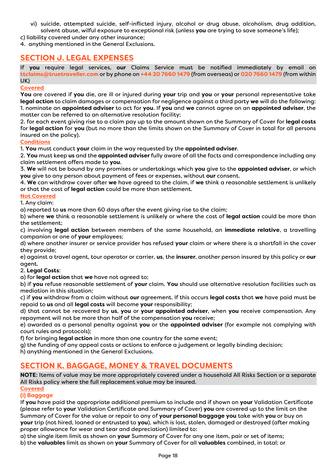vi) suicide, attempted suicide, self-inflicted injury, alcohol or drug abuse, alcoholism, drug addition, solvent abuse, wilful exposure to exceptional risk (unless **you** are trying to save someone's life);

c) liability covered under any other insurance;

4. anything mentioned in the General Exclusions.

## **SECTION J. LEGAL EXPENSES**

If you require legal services, **our** Claims Service must be notified immediately by email on **ttclaims@truetraveller.com** or by phone on **+44 20 7660 1479** (from overseas) or **020 7660 1479** (from within UK)

#### **Covered**

**You** are covered if **you** die, are ill or injured during **your** trip and **you** or **your** personal representative take **legal action** to claim damages or compensation for negligence against a third party **we** will do the following: 1. nominate an **appointed adviser** to act for **you**. If **you** and **we** cannot agree on an **appointed adviser**, the matter can be referred to an alternative resolution facility;

2. for each event giving rise to a claim pay up to the amount shown on the Summary of Cover for **legal costs** for **legal action** for **you** (but no more than the limits shown on the Summary of Cover in total for all persons insured on the policy).

#### **Conditions**

1. **You** must conduct **your** claim in the way requested by the **appointed adviser**.

2. **You** must keep **us** and the **appointed adviser** fully aware of all the facts and correspondence including any claim settlement offers made to **you**.

3. **We** will not be bound by any promises or undertakings which **you** give to the **appointed adviser**, or which **you** give to any person about payment of fees or expenses, without **our** consent.

4. **We** can withdraw cover after **we** have agreed to the claim, if **we** think a reasonable settlement is unlikely or that the cost of **legal action** could be more than settlement.

#### **Not Covered**

1. Any claim:

a) reported to **us** more than 60 days after the event giving rise to the claim;

b) where **we** think a reasonable settlement is unlikely or where the cost of **legal action** could be more than the settlement;

c) involving **legal action** between members of the same household, an **immediate relative**, a travelling companion or one of **your** employees;

d) where another insurer or service provider has refused **your** claim or where there is a shortfall in the cover they provide;

e) against a travel agent, tour operator or carrier, **us**, the **insurer**, another person insured by this policy or **our** agent.

#### 2. **Legal Costs**:

a) for **legal action** that **we** have not agreed to;

b) if **you** refuse reasonable settlement of **your** claim. **You** should use alternative resolution facilities such as mediation in this situation;

c) if **you** withdraw from a claim without **our** agreement. If this occurs **legal costs** that **we** have paid must be repaid to **us** and all **legal costs** will become **your** responsibility;

d) that cannot be recovered by **us**, **you** or **your appointed adviser**, when **you** receive compensation. Any repayment will not be more than half of the compensation you receive;

e) awarded as a personal penalty against **you** or the **appointed adviser** (for example not complying with court rules and protocols);

f) for bringing **legal action** in more than one country for the same event;

g) the funding of any appeal costs or actions to enforce a judgement or legally binding decision;

h) anything mentioned in the General Exclusions.

## **SECTION K. BAGGAGE, MONEY & TRAVEL DOCUMENTS**

**NOTE**: Items of value may be more appropriately covered under a household All Risks Section or a separate All Risks policy where the full replacement value may be insured.

#### **Covered**

#### **(i) Baggage**

If **you** have paid the appropriate additional premium to include and if shown on **your** Validation Certificate (please refer to **your** Validation Certificate and Summary of Cover) **you** are covered up to the limit on the Summary of Cover for the value or repair to any of **your personal baggage you** take with **you** or buy on **your** trip (not hired, loaned or entrusted to **you**), which is lost, stolen, damaged or destroyed (after making proper allowance for wear and tear and depreciation) limited to:

a) the single item limit as shown on **your** Summary of Cover for any one item, pair or set of items;

b) the **valuables** limit as shown on **your** Summary of Cover for all **valuables** combined, in total; or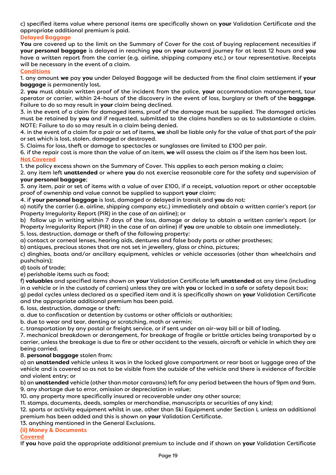c) specified items value where personal items are specifically shown on **your** Validation Certificate and the appropriate additional premium is paid.

#### **Delayed Baggage**

**You** are covered up to the limit on the Summary of Cover for the cost of buying replacement necessities if **your personal baggage** is delayed in reaching **you** on **your** outward journey for at least 12 hours and **you** have a written report from the carrier (e.g. airline, shipping company etc.) or tour representative. Receipts will be necessary in the event of a claim.

#### **Conditions**

1. any amount **we** pay **you** under Delayed Baggage will be deducted from the final claim settlement if **your baggage** is permanently lost.

2. **you** must obtain written proof of the incident from the police, **your** accommodation management, tour operator or carrier, within 24-hours of the discovery in the event of loss, burglary or theft of the **baggage**. Failure to do so may result in **your** claim being declined.

3. in the event of a claim for damaged items, proof of the damage must be supplied. The damaged articles must be retained by **you** and if requested, submitted to the claims handlers so as to substantiate a claim. NOTE: Failure to do so may result in a claim being denied.

4. in the event of a claim for a pair or set of items, **we** shall be liable only for the value of that part of the pair or set which is lost, stolen, damaged or destroyed.

5. Claims for loss, theft or damage to spectacles or sunglasses are limited to £100 per pair.

6. if the repair cost is more than the value of an item, **we** will assess the claim as if the item has been lost. **Not Covered** 

1. the policy excess shown on the Summary of Cover. This applies to each person making a claim;

2. any item left **unattended** or where **you** do not exercise reasonable care for the safety and supervision of **your personal baggage**;

3. any item, pair or set of items with a value of over £100, if a receipt, valuation report or other acceptable proof of ownership and value cannot be supplied to support **your** claim;

4. if **your personal baggage** is lost, damaged or delayed in transit and **you** do not:

a) notify the carrier (i.e. airline, shipping company etc.) immediately and obtain a written carrier's report (or Property Irregularity Report (PIR) in the case of an airline); or

b) follow up in writing within 7 days of the loss, damage or delay to obtain a written carrier's report (or Property Irregularity Report (PIR) in the case of an airline) if **you** are unable to obtain one immediately. 5. loss, destruction, damage or theft of the following property:

a) contact or corneal lenses, hearing aids, dentures and false body parts or other prostheses;

b) antiques, precious stones that are not set in jewellery, glass or china, pictures;

c) dinghies, boats and/or ancillary equipment, vehicles or vehicle accessories (other than wheelchairs and pushchairs);

d) tools of trade;

e) perishable items such as food;

f) **valuables** and specified items shown on **your** Validation Certificate left **unattended** at any time (including in a vehicle or in the custody of carriers) unless they are with **you** or locked in a safe or safety deposit box; g) pedal cycles unless declared as a specified item and it is specifically shown on **your** Validation Certificate and the appropriate additional premium has been paid.

6. loss, destruction, damage or theft:

a. due to confiscation or detention by customs or other officials or authorities;

b. due to wear and tear, denting or scratching, moth or vermin;

c. transportation by any postal or freight service, or if sent under an air-way bill or bill of lading.

7. mechanical breakdown or derangement, for breakage of fragile or brittle articles being transported by a carrier, unless the breakage is due to fire or other accident to the vessels, aircraft or vehicle in which they are being carried.

8. **personal baggage** stolen from:

a) an **unattended** vehicle unless it was in the locked glove compartment or rear boot or luggage area of the vehicle and is covered so as not to be visible from the outside of the vehicle and there is evidence of forcible and violent entry; or

b) an **unattended** vehicle (other than motor caravans) left for any period between the hours of 9pm and 9am. 9. any shortage due to error, omission or depreciation in value;

10. any property more specifically insured or recoverable under any other source;

11. stamps, documents, deeds, samples or merchandise, manuscripts or securities of any kind;

12. sports or activity equipment whilst in use, other than Ski Equipment under Section L unless an additional premium has been added and this is shown on **your** Validation Certificate.

13. anything mentioned in the General Exclusions.

#### **(ii) Money & Documents**

#### **Covered**

If **you** have paid the appropriate additional premium to include and if shown on **your** Validation Certificate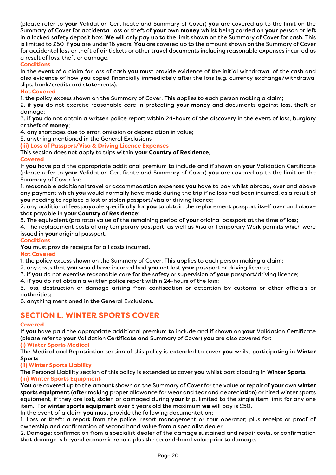(please refer to **your** Validation Certificate and Summary of Cover) **you** are covered up to the limit on the Summary of Cover for accidental loss or theft of **your** own **money** whilst being carried on **your** person or left in a locked safety deposit box. **We** will only pay up to the limit shown on the Summary of Cover for cash. This is limited to £50 if **you** are under 16 years. **You** are covered up to the amount shown on the Summary of Cover for accidental loss or theft of air tickets or other travel documents including reasonable expenses incurred as a result of loss, theft or damage.

#### **Conditions**

In the event of a claim for loss of cash **you** must provide evidence of the initial withdrawal of the cash and also evidence of how **you** coped financially immediately after the loss (e.g. currency exchange/withdrawal slips, bank/credit card statements).

#### **Not Covered**

1. the policy excess shown on the Summary of Cover. This applies to each person making a claim;

2. if **you** do not exercise reasonable care in protecting **your money** and documents against loss, theft or damage;

3. if **you** do not obtain a written police report within 24-hours of the discovery in the event of loss, burglary or theft of **money**;

4. any shortages due to error, omission or depreciation in value;

5. anything mentioned in the General Exclusions

**(iii) Loss of Passport/Visa & Driving Licence Expenses** 

#### This section does not apply to trips within **your Country of Residence**.

#### **Covered**

If **you** have paid the appropriate additional premium to include and if shown on **your** Validation Certificate (please refer to **your** Validation Certificate and Summary of Cover) **you** are covered up to the limit on the Summary of Cover for:

1. reasonable additional travel or accommodation expenses **you** have to pay whilst abroad, over and above any payment which **you** would normally have made during the trip if no loss had been incurred, as a result of **you** needing to replace a lost or stolen passport/visa or driving licence;

2. any additional fees payable specifically for **you** to obtain the replacement passport itself over and above that payable in **your Country of Residence**;

3. The equivalent (pro rata) value of the remaining period of **your** original passport at the time of loss;

4. The replacement costs of any temporary passport, as well as Visa or Temporary Work permits which were issued in **your** original passport.

#### **Conditions**

You must provide receipts for all costs incurred.

#### **Not Covered**

1. the policy excess shown on the Summary of Cover. This applies to each person making a claim;

2. any costs that **you** would have incurred had **you** not lost **your** passport or driving licence;

3. if **you** do not exercise reasonable care for the safety or supervision of **your** passport/driving licence;

4. if **you** do not obtain a written police report within 24-hours of the loss;

5. loss, destruction or damage arising from confiscation or detention by customs or other officials or authorities;

6. anything mentioned in the General Exclusions.

## **SECTION L. WINTER SPORTS COVER**

#### **Covered**

If **you** have paid the appropriate additional premium to include and if shown on **your** Validation Certificate (please refer to **your** Validation Certificate and Summary of Cover) **you** are also covered for:

#### **(i) Winter Sports Medical**

The Medical and Repatriation section of this policy is extended to cover **you** whilst participating in **Winter Sports**

#### **(ii) Winter Sports Liability**

The Personal Liability section of this policy is extended to cover **you** whilst participating in **Winter Sports (iii) Winter Sports Equipment** 

**You** are covered up to the amount shown on the Summary of Cover for the value or repair of **your** own **winter sports equipment** (after making proper allowance for wear and tear and depreciation) or hired winter sports equipment, if they are lost, stolen or damaged during **your** trip, limited to the single item limit for any one item. For **winter sports equipment** over 5 years old the maximum **we** will pay is £50.

In the event of a claim **you** must provide the following documentation:

1. Loss or theft: a report from the police, resort management or tour operator; plus receipt or proof of ownership and confirmation of second hand value from a specialist dealer.

2. Damage: confirmation from a specialist dealer of the damage sustained and repair costs, or confirmation that damage is beyond economic repair, plus the second-hand value prior to damage.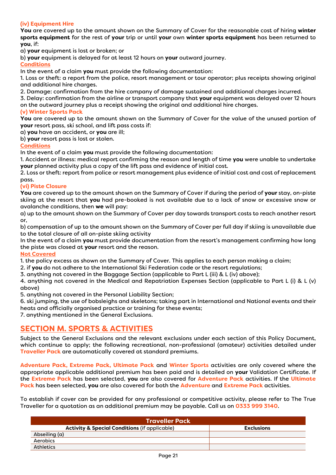#### **(iv) Equipment Hire**

**You** are covered up to the amount shown on the Summary of Cover for the reasonable cost of hiring **winter sports equipment** for the rest of **your** trip or until **your** own **winter sports equipment** has been returned to **you**, if:

a) **your** equipment is lost or broken; or

b) **your** equipment is delayed for at least 12 hours on **your** outward journey.

**Conditions** 

In the event of a claim **you** must provide the following documentation:

1. Loss or theft: a report from the police, resort management or tour operator; plus receipts showing original and additional hire charges.

2. Damage: confirmation from the hire company of damage sustained and additional charges incurred.

3. Delay: confirmation from the airline or transport company that **your** equipment was delayed over 12 hours on the outward journey plus a receipt showing the original and additional hire charges.

#### **(v) Winter Sports Pack**

**You** are covered up to the amount shown on the Summary of Cover for the value of the unused portion of **your** resort pass, ski school, and lift pass costs if:

a) **you** have an accident, or **you** are ill;

b) **your** resort pass is lost or stolen.

#### **Conditions**

In the event of a claim **you** must provide the following documentation:

1. Accident or illness: medical report confirming the reason and length of time you were unable to undertake **your** planned activity plus a copy of the lift pass and evidence of initial cost.

2. Loss or theft: report from police or resort management plus evidence of initial cost and cost of replacement pass.

#### **(vi) Piste Closure**

**You** are covered up to the amount shown on the Summary of Cover if during the period of **your** stay, on-piste skiing at the resort that **you** had pre-booked is not available due to a lack of snow or excessive snow or avalanche conditions, then **we** will pay:

a) up to the amount shown on the Summary of Cover per day towards transport costs to reach another resort or,

b) compensation of up to the amount shown on the Summary of Cover per full day if skiing is unavailable due to the total closure of all on-piste skiing activity

In the event of a claim **you** must provide documentation from the resort's management confirming how long the piste was closed at **your** resort and the reason.

#### **Not Covered**

1. the policy excess as shown on the Summary of Cover. This applies to each person making a claim;

2. if **you** do not adhere to the International Ski Federation code or the resort regulations;

3. anything not covered in the Baggage Section (applicable to Part L (iii) & L (iv) above);

4. anything not covered in the Medical and Repatriation Expenses Section (applicable to Part L (i) & L (v) above)

5. anything not covered in the Personal Liability Section;

6. ski jumping, the use of bobsleighs and skeletons; taking part in International and National events and their heats and officially organised practice or training for these events;

7. anything mentioned in the General Exclusions.

## **SECTION M. SPORTS & ACTIVITIES**

Subject to the General Exclusions and the relevant exclusions under each section of this Policy Document, which continue to apply; the following recreational, non-professional (amateur) activities detailed under **Traveller Pack** are automatically covered at standard premiums.

**Adventure Pack, Extreme Pack, Ultimate Pack** and **Winter Sports** activities are only covered where the appropriate applicable additional premium has been paid and is detailed on **your** Validation Certificate. If the **Extreme Pack** has been selected, **you** are also covered for **Adventure Pack** activities. If the **Ultimate Pack** has been selected, **you** are also covered for both the **Adventure** and **Extreme Pack** activities.

To establish if cover can be provided for any professional or competitive activity, please refer to The True Traveller for a quotation as an additional premium may be payable. Call us on **0333 999 3140**.

| <b>Traveller Pack</b>                                    |                   |  |  |
|----------------------------------------------------------|-------------------|--|--|
| <b>Activity &amp; Special Conditions (if applicable)</b> | <b>Exclusions</b> |  |  |
| Abseiling (a)                                            |                   |  |  |
| Aerobics                                                 |                   |  |  |
| <b>Athletics</b>                                         |                   |  |  |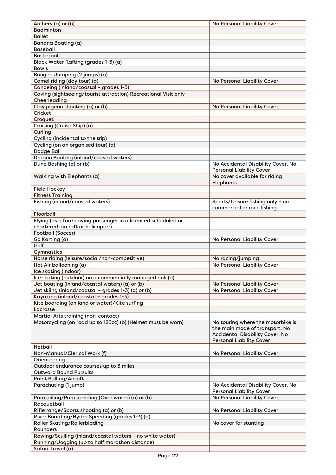| Archery (a) or (b)                                              | No Personal Liability Cover            |
|-----------------------------------------------------------------|----------------------------------------|
| <b>Badminton</b>                                                |                                        |
| <b>Ballet</b>                                                   |                                        |
| Banana Boating (a)                                              |                                        |
| <b>Baseball</b>                                                 |                                        |
| <b>Basketball</b>                                               |                                        |
| Black Water Rafting (grades 1-3) (a)                            |                                        |
| <b>Bowls</b>                                                    |                                        |
| Bungee Jumping (2 jumps) (a)                                    |                                        |
| Camel riding (day tour) (a)                                     | No Personal Liability Cover            |
| Canoeing (inland/coastal - grades 1-3)                          |                                        |
| Caving (sightseeing/tourist attraction) Recreational Visit only |                                        |
| Cheerleading                                                    |                                        |
| Clay pigeon shooting (a) or (b)                                 | No Personal Liability Cover            |
| Cricket                                                         |                                        |
| Croquet                                                         |                                        |
| Cruising (Cruise Ship) (a)                                      |                                        |
|                                                                 |                                        |
| Curling                                                         |                                        |
| Cycling (incidental to the trip)                                |                                        |
| Cycling (on an organised tour) (a)                              |                                        |
| Dodge Ball                                                      |                                        |
| <b>Dragon Boating (inland/coastal waters)</b>                   |                                        |
| Dune Bashing (a) or (b)                                         | No Accidental Disability Cover, No     |
|                                                                 | <b>Personal Liability Cover</b>        |
| Walking with Elephants (a)                                      | No cover available for riding          |
|                                                                 | Elephants.                             |
| <b>Field Hockey</b>                                             |                                        |
| <b>Fitness Training</b>                                         |                                        |
| Fishing (inland/coastal waters)                                 | Sports/Leisure fishing only - no       |
|                                                                 | commercial or rock fishing             |
| Floorball                                                       |                                        |
| Flying (as a fare paying passenger in a licenced scheduled or   |                                        |
| chartered aircraft or helicopter)                               |                                        |
| Football (Soccer)                                               |                                        |
| Go Karting (a)                                                  | No Personal Liability Cover            |
| Golf                                                            |                                        |
| Gymnastics                                                      |                                        |
| Horse riding (leisure/social/non-competitive)                   | No racing/jumping                      |
| Hot Air ballooning (a)                                          | No Personal Liability Cover            |
| Ice skating (indoor)                                            |                                        |
| Ice skating (outdoor) on a commercially managed rink (a)        |                                        |
| Jet boating (inland/coastal waters) (a) or (b)                  | No Personal Liability Cover            |
| Jet skiing (inland/coastal - grades 1-3) (a) or (b)             | No Personal Liability Cover            |
| Kayaking (inland/coastal - grades 1-3)                          |                                        |
| Kite boarding (on land or water)/Kite surfing                   |                                        |
| Lacrosse                                                        |                                        |
| Martial Arts training (non-contact)                             |                                        |
| Motorcycling (on road up to 125cc) (b) (Helmet must be worn)    | No touring where the motorbike is      |
|                                                                 | the main mode of transport. No         |
|                                                                 | <b>Accidental Disability Cover, No</b> |
|                                                                 | <b>Personal Liability Cover</b>        |
| Netball                                                         |                                        |
| Non-Manual/Clerical Work (f)                                    |                                        |
|                                                                 | No Personal Liability Cover            |
| Orienteering                                                    |                                        |
| Outdoor endurance courses up to 3 miles                         |                                        |
| <b>Outward Bound Pursuits</b>                                   |                                        |
| <b>Paint Balling/Airsoft</b>                                    |                                        |
| Parachuting (1 jump)                                            | No Accidental Disability Cover, No     |
|                                                                 | <b>Personal Liability Cover</b>        |
| Parasailing/Parascending (Over water) (a) or (b)                | No Personal Liability Cover            |
| Racquetball                                                     |                                        |
| Rifle range/Sports shooting (a) or (b)                          | No Personal Liability Cover            |
| River Boarding/Hydro Speeding (grades 1-3) (a)                  |                                        |
| <b>Roller Skating/Rollerblading</b>                             | No cover for stunting                  |
| Rounders                                                        |                                        |
| Rowing/Sculling (inland/coastal waters - no white water)        |                                        |
| Running/Jogging (up to half marathon distance)                  |                                        |
| Safari Travel (a)                                               |                                        |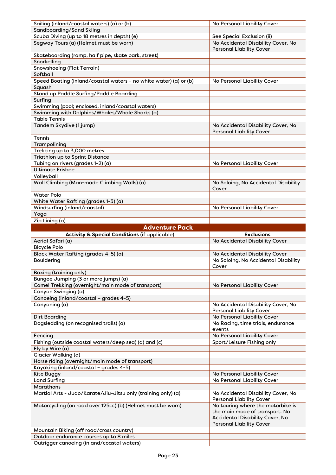| Sailing (inland/coastal waters) (a) or (b)                                            | No Personal Liability Cover                   |
|---------------------------------------------------------------------------------------|-----------------------------------------------|
| Sandboarding/Sand Skiing                                                              |                                               |
| Scuba Diving (up to 18 metres in depth) (e)                                           | See Special Exclusion (ii)                    |
| Segway Tours (a) (Helmet must be worn)                                                | No Accidental Disability Cover, No            |
| Skateboarding (ramp, half pipe, skate park, street)                                   | <b>Personal Liability Cover</b>               |
| Snorkelling                                                                           |                                               |
| <b>Snowshoeing (Flat Terrain)</b>                                                     |                                               |
| Softball                                                                              |                                               |
|                                                                                       |                                               |
| Speed Boating (inland/coastal waters - no white water) (a) or (b)                     | No Personal Liability Cover                   |
| Squash                                                                                |                                               |
| Stand up Paddle Surfing/Paddle Boarding                                               |                                               |
| Surfing                                                                               |                                               |
| Swimming (pool; enclosed, inland/coastal waters)                                      |                                               |
| Swimming with Dolphins/Whales/Whale Sharks (a)                                        |                                               |
| <b>Table Tennis</b>                                                                   |                                               |
| Tandem Skydive (1 jump)                                                               | No Accidental Disability Cover, No            |
|                                                                                       | <b>Personal Liability Cover</b>               |
| Tennis                                                                                |                                               |
| Trampolining                                                                          |                                               |
| Trekking up to 3,000 metres                                                           |                                               |
| Triathlon up to Sprint Distance                                                       |                                               |
| Tubing on rivers (grades 1-2) (a)                                                     | No Personal Liability Cover                   |
| <b>Ultimate Frisbee</b>                                                               |                                               |
| Volleyball                                                                            |                                               |
| Wall Climbing (Man-made Climbing Walls) (a)                                           | No Soloing, No Accidental Disability          |
|                                                                                       | Cover                                         |
|                                                                                       |                                               |
| <b>Water Polo</b>                                                                     |                                               |
| White Water Rafting (grades 1-3) (a)                                                  |                                               |
| Windsurfing (inland/coastal)                                                          | No Personal Liability Cover                   |
| Yoga                                                                                  |                                               |
| Zip Lining (a)                                                                        |                                               |
| <b>Adventure Pack</b>                                                                 |                                               |
|                                                                                       |                                               |
|                                                                                       | <b>Exclusions</b>                             |
| <b>Activity &amp; Special Conditions (if applicable)</b><br>Aerial Safari (a)         |                                               |
|                                                                                       | No Accidental Disability Cover                |
| <b>Bicycle Polo</b>                                                                   |                                               |
| Black Water Rafting (grades 4-5) (a)                                                  | No Accidental Disability Cover                |
| <b>Bouldering</b>                                                                     | No Soloing, No Accidental Disability<br>Cover |
|                                                                                       |                                               |
| <b>Boxing (training only)</b>                                                         |                                               |
| Bungee Jumping (3 or more jumps) (a)                                                  |                                               |
| Camel Trekking (overnight/main mode of transport)                                     | No Personal Liability Cover                   |
| Canyon Swinging (a)                                                                   |                                               |
| Canoeing (inland/coastal - grades 4-5)                                                |                                               |
| Canyoning (a)                                                                         | No Accidental Disability Cover, No            |
|                                                                                       | <b>Personal Liability Cover</b>               |
| <b>Dirt Boarding</b>                                                                  | No Personal Liability Cover                   |
| Dogsledding (on recognised trails) (a)                                                | No Racing, time trials, endurance             |
|                                                                                       | events                                        |
| Fencing                                                                               | No Personal Liability Cover                   |
| Fishing (outside coastal waters/deep sea) (a) and (c)                                 | Sport/Leisure Fishing only                    |
| Fly by Wire (a)                                                                       |                                               |
| Glacier Walking (a)                                                                   |                                               |
|                                                                                       |                                               |
| Horse riding (overnight/main mode of transport)                                       |                                               |
| Kayaking (inland/coastal - grades 4-5)                                                |                                               |
| Kite Buggy                                                                            | No Personal Liability Cover                   |
| <b>Land Surfing</b>                                                                   | No Personal Liability Cover                   |
| Marathons                                                                             |                                               |
| Martial Arts - Judo/Karate/Jiu-Jitsu only (training only) (a)                         | No Accidental Disability Cover, No            |
|                                                                                       | <b>Personal Liability Cover</b>               |
| Motorcycling (on road over 125cc) (b) (Helmet must be worn)                           | No touring where the motorbike is             |
|                                                                                       | the main mode of transport. No                |
|                                                                                       | Accidental Disability Cover, No               |
|                                                                                       | <b>Personal Liability Cover</b>               |
| Mountain Biking (off road/cross country)                                              |                                               |
| Outdoor endurance courses up to 8 miles<br>Outrigger canoeing (inland/coastal waters) |                                               |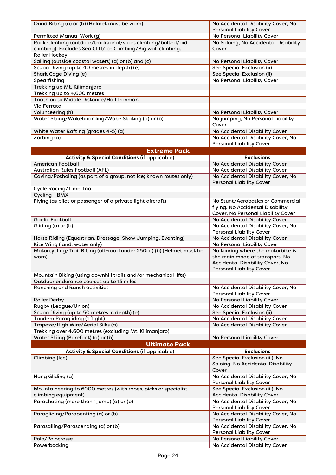| Quad Biking (a) or (b) (Helmet must be worn)                                                         | No Accidental Disability Cover, No                                       |
|------------------------------------------------------------------------------------------------------|--------------------------------------------------------------------------|
|                                                                                                      | <b>Personal Liability Cover</b>                                          |
| Permitted Manual Work (g)<br>Rock Climbing (outdoor/traditional/sport climbing/bolted/aid            | No Personal Liability Cover<br>No Soloing, No Accidental Disability      |
| climbing). Excludes Sea Cliff/Ice Climbing/Big wall climbing.                                        | Cover                                                                    |
| Roller Hockey                                                                                        |                                                                          |
| Sailing (outside coastal waters) (a) or (b) and (c)                                                  | No Personal Liability Cover                                              |
| Scuba Diving (up to 40 metres in depth) (e)                                                          | See Special Exclusion (ii)                                               |
| Shark Cage Diving (e)                                                                                | See Special Exclusion (ii)                                               |
| Spearfishing                                                                                         | No Personal Liability Cover                                              |
| Trekking up Mt. Kilimanjaro<br>Trekking up to 4,600 metres                                           |                                                                          |
| Triathlon to Middle Distance/Half Ironman                                                            |                                                                          |
| Via Ferrata                                                                                          |                                                                          |
| Volunteering (h)                                                                                     | No Personal Liability Cover                                              |
| Water Skiing/Wakeboarding/Wake Skating (a) or (b)                                                    | No jumping, No Personal Liability<br>Cover                               |
| White Water Rafting (grades 4-5) (a)                                                                 | No Accidental Disability Cover                                           |
| Zorbing (a)                                                                                          | No Accidental Disability Cover, No                                       |
|                                                                                                      | <b>Personal Liability Cover</b>                                          |
| <b>Extreme Pack</b>                                                                                  |                                                                          |
| <b>Activity &amp; Special Conditions (if applicable)</b>                                             | <b>Exclusions</b>                                                        |
| <b>American Football</b>                                                                             | No Accidental Disability Cover<br>No Accidental Disability Cover         |
| Australian Rules Football (AFL)<br>Caving/Potholing (as part of a group, not ice; known routes only) | No Accidental Disability Cover, No                                       |
|                                                                                                      | <b>Personal Liability Cover</b>                                          |
| <b>Cycle Racing/Time Trial</b>                                                                       |                                                                          |
| Cycling - BMX<br>Flying (as pilot or passenger of a private light aircraft)                          | No Stunt/Aerobatics or Commercial                                        |
|                                                                                                      | flying. No Accidental Disability                                         |
|                                                                                                      | Cover, No Personal Liability Cover                                       |
| <b>Gaelic Football</b>                                                                               | No Accidental Disability Cover                                           |
| Gliding (a) or (b)                                                                                   | No Accidental Disability Cover, No                                       |
|                                                                                                      | <b>Personal Liability Cover</b>                                          |
| Horse Riding (Equestrian, Dressage, Show Jumping, Eventing)                                          | No Accidental Disability Cover                                           |
| Kite Wing (land, water only)<br>Motorcycling/Trail Biking (off-road under 250cc) (b) (Helmet must be | No Personal Liability Cover<br>No touring where the motorbike is         |
| worn)                                                                                                | the main mode of transport. No                                           |
|                                                                                                      | <b>Accidental Disability Cover, No</b>                                   |
|                                                                                                      | <b>Personal Liability Cover</b>                                          |
| Mountain Biking (using downhill trails and/or mechanical lifts)                                      |                                                                          |
| Outdoor endurance courses up to 13 miles                                                             |                                                                          |
| <b>Ranching and Ranch activities</b>                                                                 | No Accidental Disability Cover, No<br><b>Personal Liability Cover</b>    |
| <b>Roller Derby</b>                                                                                  | No Personal Liability Cover                                              |
| Rugby (League/Union)                                                                                 | No Accidental Disability Cover                                           |
| Scuba Diving (up to 50 metres in depth) (e)                                                          |                                                                          |
| <b>Tandem Paragliding (1 flight)</b>                                                                 | See Special Exclusion (ii)                                               |
|                                                                                                      | No Accidental Disability Cover                                           |
| Trapeze/High Wire/Aerial Silks (a)                                                                   | No Accidental Disability Cover                                           |
| Trekking over 4,600 metres (excluding Mt. Kilimanjaro)                                               |                                                                          |
| Water Skiing (Barefoot) (a) or (b)                                                                   | No Personal Liability Cover                                              |
| <b>Ultimate Pack</b>                                                                                 |                                                                          |
| <b>Activity &amp; Special Conditions (if applicable)</b>                                             | <b>Exclusions</b>                                                        |
| Climbing (Ice)                                                                                       | See Special Exclusion (iii). No                                          |
|                                                                                                      | Soloing, No Accidental Disability<br>Cover                               |
| Hang Gliding (a)                                                                                     | No Accidental Disability Cover, No                                       |
|                                                                                                      | <b>Personal Liability Cover</b>                                          |
| Mountaineering to 6000 metres (with ropes, picks or specialist                                       | See Special Exclusion (iii). No                                          |
| climbing equipment)<br>Parachuting (more than 1 jump) (a) or (b)                                     | <b>Accidental Disability Cover</b><br>No Accidental Disability Cover, No |
|                                                                                                      | <b>Personal Liability Cover</b>                                          |
| Paragliding/Parapenting (a) or (b)                                                                   | No Accidental Disability Cover, No                                       |
| Parasailing/Parascending (a) or (b)                                                                  | <b>Personal Liability Cover</b><br>No Accidental Disability Cover, No    |
|                                                                                                      | <b>Personal Liability Cover</b>                                          |
| Polo/Polocrosse<br>Powerbocking                                                                      | No Personal Liability Cover<br>No Accidental Disability Cover            |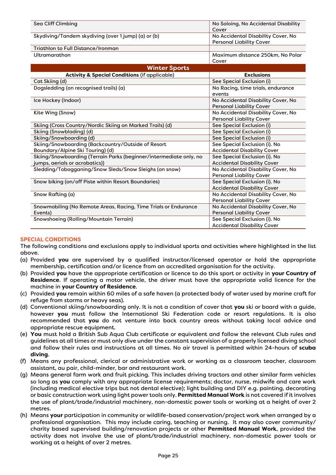| Sea Cliff Climbing                                                 | No Soloing, No Accidental Disability<br>Cover                         |
|--------------------------------------------------------------------|-----------------------------------------------------------------------|
| Skydiving/Tandem skydiving (over 1 jump) (a) or (b)                | No Accidental Disability Cover, No<br><b>Personal Liability Cover</b> |
| Triathlon to Full Distance/Ironman                                 |                                                                       |
| Ultramarathon                                                      | Maximum distance 250km, No Polar<br>Cover                             |
| <b>Winter Sports</b>                                               |                                                                       |
| <b>Activity &amp; Special Conditions (if applicable)</b>           | <b>Exclusions</b>                                                     |
| Cat Skiing (d)                                                     | See Special Exclusion (i)                                             |
| Dogsledding (on recognised trails) (a)                             | No Racing, time trials, endurance                                     |
|                                                                    | events                                                                |
| Ice Hockey (Indoor)                                                | No Accidental Disability Cover, No                                    |
|                                                                    | <b>Personal Liability Cover</b>                                       |
| Kite Wing (Snow)                                                   | No Accidental Disability Cover, No                                    |
|                                                                    | <b>Personal Liability Cover</b>                                       |
| Skiing (Cross Country/Nordic Skiing on Marked Trails) (d)          | See Special Exclusion (i)                                             |
| Skiing (Snowblading) (d)                                           | See Special Exclusion (i)                                             |
| Skiing/Snowboarding (d)                                            | See Special Exclusion (i)                                             |
| Skiing/Snowboarding (Backcountry/Outside of Resort                 | See Special Exclusion (i). No                                         |
| Boundary/Alpine Ski Touring) (d)                                   | <b>Accidental Disability Cover</b>                                    |
| Skiing/Snowboarding (Terrain Parks (beginner/intermediate only, no | See Special Exclusion (i). No                                         |
| jumps, aerials or acrobatics))                                     | <b>Accidental Disability Cover</b>                                    |
| Sledding/Tobogganing/Snow Sleds/Snow Sleighs (on snow)             | No Accidental Disability Cover, No                                    |
|                                                                    | <b>Personal Liability Cover</b>                                       |
| Snow biking (on/off Piste within Resort Boundaries)                | See Special Exclusion (i). No                                         |
|                                                                    | <b>Accidental Disability Cover</b>                                    |
| Snow Rafting (a)                                                   | No Accidental Disability Cover, No                                    |
|                                                                    | <b>Personal Liability Cover</b>                                       |
| Snowmobiling (No Remote Areas, Racing, Time Trials or Endurance    | No Accidental Disability Cover, No                                    |
| Events)                                                            | <b>Personal Liability Cover</b>                                       |
| Snowshoeing (Rolling/Mountain Terrain)                             | See Special Exclusion (i). No                                         |
|                                                                    | <b>Accidental Disability Cover</b>                                    |

#### **SPECIAL CONDITIONS**

The following conditions and exclusions apply to individual sports and activities where highlighted in the list above.

- (a) Provided **you** are supervised by a qualified instructor/licensed operator or hold the appropriate membership, certification and/or licence from an accredited organisation for the activity.
- (b) Provided **you** have the appropriate certification or licence to do this sport or activity in **your Country of Residence**. If operating a motor vehicle, the driver must have the appropriate valid licence for the machine in **your Country of Residence**.
- (c) Provided **you** remain within 60 miles of a safe haven (a protected body of water used by marine craft for refuge from storms or heavy seas).
- (d) Conventional skiing/snowboarding only. It is not a condition of cover that **you** ski or board with a guide, however **you** must follow the International Ski Federation code or resort regulations. It is also recommended that **you** do not venture into back country areas without taking local advice and appropriate rescue equipment.
- (e) **You** must hold a British Sub Aqua Club certificate or equivalent and follow the relevant Club rules and guidelines at all times or must only dive under the constant supervision of a properly licensed diving school and follow their rules and instructions at all times. No air travel is permitted within 24-hours of **scuba diving**.
- (f) Means any professional, clerical or administrative work or working as a classroom teacher, classroom assistant, au pair, child-minder, bar and restaurant work.
- (g) Means general farm work and fruit picking. This includes driving tractors and other similar farm vehicles so long as **you** comply with any appropriate license requirements; doctor, nurse, midwife and care work (including medical elective trips but not dental elective); light building and DIY e.g. painting, decorating or basic construction work using light power tools only. **Permitted Manual Work** is not covered if it involves the use of plant/trade/industrial machinery, non-domestic power tools or working at a height of over 2 metres.
- (h) Means **your** participation in community or wildlife-based conservation/project work when arranged by a professional organisation. This may include caring, teaching or nursing. It may also cover community/ charity based supervised building/renovation projects or other **Permitted Manual Work**, provided the activity does not involve the use of plant/trade/industrial machinery, non-domestic power tools or working at a height of over 2 metres.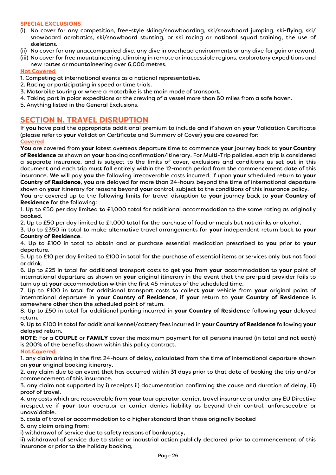#### **SPECIAL EXCLUSIONS**

- (i) No cover for any competition, free-style skiing/snowboarding, ski/snowboard jumping, ski-flying, ski/ snowboard acrobatics, ski/snowboard stunting, or ski racing or national squad training, the use of skeletons.
- (ii) No cover for any unaccompanied dive, any dive in overhead environments or any dive for gain or reward.
- (iii) No cover for free mountaineering, climbing in remote or inaccessible regions, exploratory expeditions and new routes or mountaineering over 6,000 metres.

#### **Not Covered**

- 1. Competing at international events as a national representative.
- 2. Racing or participating in speed or time trials.
- 3. Motorbike touring or where a motorbike is the main mode of transport.
- 4. Taking part in polar expeditions or the crewing of a vessel more than 60 miles from a safe haven.
- 5. Anything listed in the General Exclusions.

## **SECTION N. TRAVEL DISRUPTION**

If **you** have paid the appropriate additional premium to include and if shown on **your** Validation Certificate (please refer to your Validation Certificate and Summary of Cover) **you** are covered for:

#### **Covered**

**You** are covered from **your** latest overseas departure time to commence **your** journey back to **your Country of Residence** as shown on **your** booking confirmation/itinerary. For Multi-Trip policies, each trip is considered a separate insurance, and is subject to the limits of cover, exclusions and conditions as set out in this document and each trip must fall entirely within the 12-month period from the commencement date of this insurance. **We** will pay **you** the following irrecoverable costs incurred, if upon **your** scheduled return to **your Country of Residence**, **you** are delayed for more than 24-hours beyond the time of international departure shown on **your** itinerary for reasons beyond **your** control, subject to the conditions of this insurance policy.

**You** are covered up to the following limits for travel disruption to **your** journey back to **your Country of Residence** for the following:

1. Up to £50 per day limited to £1,000 total for additional accommodation to the same rating as originally booked.

2. Up to £50 per day limited to £1,000 total for the purchase of food or meals but not drinks or alcohol.

3. Up to £350 in total to make alternative travel arrangements for **your**independent return back to **your Country of Residence**.

4. Up to £100 in total to obtain and or purchase essential medication prescribed to **you** prior to **your** departure.

5. Up to £10 per day limited to £100 in total for the purchase of essential items or services only but not food or drink.

6. Up to £25 in total for additional transport costs to get **you**from **your**accommodation to **your**point of international departure as shown on **your**original itinerary in the event that the pre-paid provider fails to turn up at **your**accommodation within the first 45 minutes of the scheduled time.

7. Up to £100 in total for additional transport costs to collect **your** vehicle from **your** original point of international departure in **your Country of Residence**, if **your** return to **your Country of Residence** is somewhere other than the scheduled point of return.

8. Up to £50 in total for additional parking incurred in **your Country of Residence** following your delayed return.

9. Up to £100 in total for additional kennel/cattery fees incurred in **your Country of Residence** following **your** delayed return.

**NOTE**: For a **COUPLE** or **FAMILY** cover the maximum payment for all persons insured (in total and not each) is 200% of the benefits shown within this policy contract.

#### **Not Covered**

1. any claim arising in the first 24-hours of delay, calculated from the time of international departure shown on **your**original booking itinerary.

2. any claim due to an event that has occurred within 31 days prior to that date of booking the trip and/or commencement of this insurance.

3. any claim not supported by i) receipts ii) documentation confirming the cause and duration of delay, iii) proof of travel.

4. any costs which are recoverable from **your**tour operator, carrier, travel insurance or under any EU Directive irrespective if **your** tour operator or carrier denies liability as beyond their control, unforeseeable or unavoidable.

5. costs of travel or accommodation to a higher standard than those originally booked

6. any claim arising from:

i) withdrawal of service due to safety reasons of bankruptcy,

ii) withdrawal of service due to strike or industrial action publicly declared prior to commencement of this insurance or prior to the holiday booking,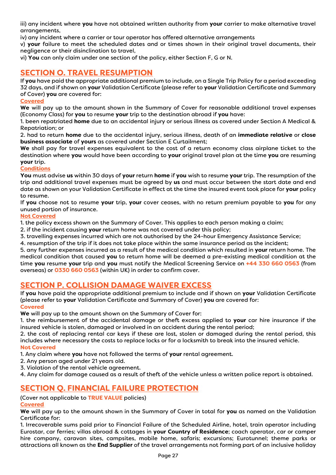iii) any incident where **you** have not obtained written authority from **your** carrier to make alternative travel arrangements,

iv) any incident where a carrier or tour operator has offered alternative arrangements

v) **your** failure to meet the scheduled dates and or times shown in their original travel documents, their negligence or their disinclination to travel,

vi) **You**can only claim under one section of the policy, either Section F, G or N.

## **SECTION O. TRAVEL RESUMPTION**

If **you** have paid the appropriate additional premium to include, on a Single Trip Policy for a period exceeding 32 days, and if shown on **your** Validation Certificate (please refer to **your** Validation Certificate and Summary of Cover) **you** are covered for:

#### **Covered**

**We** will pay up to the amount shown in the Summary of Cover for reasonable additional travel expenses (Economy Class) for **you**to resume **your** trip to the destination abroad if **you**have:

1. been repatriated **home** due to an accidental injury or serious illness as covered under Section A Medical & Repatriation; or

2. had to return **home** due to the accidental injury, serious illness, death of an **immediate relative** or **close business associate** of **yours** as covered under Section E Curtailment;

**We** shall pay for travel expenses equivalent to the cost of a return economy class airplane ticket to the destination where **you** would have been according to **your** original travel plan at the time **you**are resuming **your** trip.

#### **Conditions**

**You**must advise **us** within 30 days of **your** return **home** if **you**wish to resume **your** trip. The resumption of the trip and additional travel expenses must be agreed by **us** and must occur between the start date and end date as shown on your Validation Certificate in effect at the time the insured event took place for **your** policy to resume.

If **you** choose not to resume **your** trip, **your** cover ceases, with no return premium payable to **you** for any unused portion of insurance.

#### **Not Covered**

1. the policy excess shown on the Summary of Cover. This applies to each person making a claim;

2. if the incident causing **your** return home was not covered under this policy;

3. travelling expenses incurred which are not authorised by the 24-hour Emergency Assistance Service;

4. resumption of the trip if it does not take place within the same insurance period as the incident;

5. any further expenses incurred as a result of the medical condition which resulted in **your** return home. The medical condition that caused **you**to return home will be deemed a pre-existing medical condition at the time **you**resume **your** trip and **you**must notify the Medical Screening Service on **+44 330 660 0563** (from overseas) or **0330 660 0563** (within UK) in order to confirm cover.

## **SECTION P. COLLISION DAMAGE WAIVER EXCESS**

If **you**have paid the appropriate additional premium to include and if shown on **your**Validation Certificate (please refer to **your**Validation Certificate and Summary of Cover) **you** are covered for: **Covered** 

**We** will pay up to the amount shown on the Summary of Cover for:

1. the reimbursement of the accidental damage or theft excess applied to **your** car hire insurance if the insured vehicle is stolen, damaged or involved in an accident during the rental period;

2. the cost of replacing rental car keys if these are lost, stolen or damaged during the rental period, this includes where necessary the costs to replace locks or for a locksmith to break into the insured vehicle. **Not Covered** 

1. Any claim where **you** have not followed the terms of **your** rental agreement.

- 2. Any person aged under 21 years old.
- 3. Violation of the rental vehicle agreement.
- 4. Any claim for damage caused as a result of theft of the vehicle unless a written police report is obtained.

## **SECTION Q. FINANCIAL FAILURE PROTECTION**

(Cover not applicable to **TRUE VALUE** policies)

## **Covered**

**We** will pay up to the amount shown in the Summary of Cover in total for **you** as named on the Validation Certificate for:

1. Irrecoverable sums paid prior to Financial Failure of the Scheduled Airline, hotel, train operator including Eurostar, car ferries; villas abroad & cottages in **your Country of Residence**; coach operator, car or camper hire company, caravan sites, campsites, mobile home, safaris; excursions; Eurotunnel; theme parks or attractions all known as the **End Supplier** of the travel arrangements not forming part of an inclusive holiday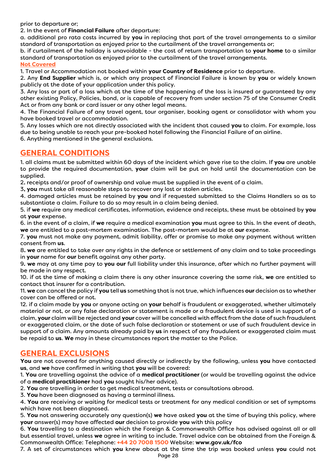prior to departure or;

2. In the event of **Financial Failure** after departure:

a. additional pro rata costs incurred by **you** in replacing that part of the travel arrangements to a similar standard of transportation as enjoyed prior to the curtailment of the travel arrangements or;

b. if curtailment of the holiday is unavoidable - the cost of return transportation to **your home** to a similar standard of transportation as enjoyed prior to the curtailment of the travel arrangements.

**Not Covered** 

1. Travel or Accommodation not booked within **your Country of Residence** prior to departure.

2. Any **End Supplier** which is, or which any prospect of Financial Failure is known by **you** or widely known publicly at the date of your application under this policy.

3. Any loss or part of a loss which at the time of the happening of the loss is insured or guaranteed by any other existing Policy, Policies, bond, or is capable of recovery from under section 75 of the Consumer Credit Act or from any bank or card issuer or any other legal means.

4. The Financial Failure of any travel agent, tour organiser, booking agent or consolidator with whom you have booked travel or accommodation.

5. Any losses which are not directly associated with the incident that caused **you** to claim. For example, loss due to being unable to reach your pre-booked hotel following the Financial Failure of an airline.

6. Anything mentioned in the general exclusions.

## **GENERAL CONDITIONS**

1. all claims must be submitted within 60 days of the incident which gave rise to the claim. If **you**are unable to provide the required documentation, **your** claim will be put on hold until the documentation can be supplied.

2. receipts and/or proof of ownership and value must be supplied in the event of a claim.

3. **you**must take all reasonable steps to recover any lost or stolen articles.

4. damaged articles must be retained by **you**and if requested submitted to the Claims Handlers so as to substantiate a claim. Failure to do so may result in a claim being denied.

5. if **we** require any medical certificates, information, evidence and receipts, these must be obtained by **you** at **your** expense.

6. in the event of a claim, if **we** require a medical examination **you**must agree to this. In the event of death, **we** are entitled to a post-mortem examination. The post-mortem would be at **our** expense.

7. **you**must not make any payment, admit liability, offer or promise to make any payment without written consent from **us**.

8. **we** are entitled to take over any rights in the defence or settlement of any claim and to take proceedings in **your** name for **our** benefit against any other party.

9. **we** may at any time pay to **you our** full liability under this insurance, after which no further payment will be made in any respect.

10. if at the time of making a claim there is any other insurance covering the same risk, **we** are entitled to contact that insurer for a contribution.

11. **we** can cancel the policy if **you** tell **us** something that is not true, which influences **our** decision as to whether cover can be offered or not.

12. if a claim made by **you**or anyone acting on **your** behalf is fraudulent or exaggerated, whether ultimately material or not, or any false declaration or statement is made or a fraudulent device is used in support of a claim, **your** claim will be rejected and **your** cover will be cancelled with effect from the date of such fraudulent or exaggerated claim, or the date of such false declaration or statement or use of such fraudulent device in support of a claim. Any amounts already paid by **us** in respect of any fraudulent or exaggerated claim must be repaid to **us**. **We** may in these circumstances report the matter to the Police.

## **GENERAL EXCLUSIONS**

**You** are not covered for anything caused directly or indirectly by the following, unless **you** have contacted **us**, and **we** have confirmed in writing that **you** will be covered:

1. **You** are travelling against the advice of a **medical practitioner** (or would be travelling against the advice of a **medical practitioner** had **you** sought his/her advice).

2. **You** are travelling in order to get medical treatment, tests or consultations abroad.

3. **You** have been diagnosed as having a terminal illness.

4. **You** are receiving or waiting for medical tests or treatment for any medical condition or set of symptoms which have not been diagnosed.

5. **You** not answering accurately any question(s) **we** have asked **you** at the time of buying this policy, where **your** answer(s) may have affected **our** decision to provide **you** with this policy

6. **You** travelling to a destination which the Foreign & Commonwealth Office has advised against all or all but essential travel, unless **we** agree in writing to include. Travel advice can be obtained from the Foreign & Commonwealth Office: Telephone: **+44 20 7008 1500** Website: **www.gov.uk/fco** 

7. A set of circumstances which **you** knew about at the time the trip was booked unless **you** could not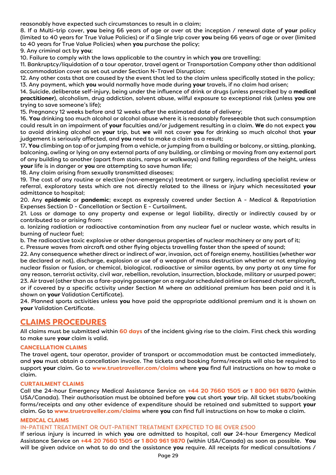reasonably have expected such circumstances to result in a claim;

8. If a Multi-trip cover, **you** being 66 years of age or over at the inception / renewal date of **your** policy (limited to 40 years for True Value Policies) or if a Single trip cover **you** being 66 years of age or over (limited to 40 years for True Value Policies) when **you** purchase the policy;

9. Any criminal act by **you**;

10. Failure to comply with the laws applicable to the country in which **you** are travelling;

11. Bankruptcy/liquidation of a tour operator, travel agent or Transportation Company other than additional accommodation cover as set out under Section N-Travel Disruption;

12. Any other costs that are caused by the event that led to the claim unless specifically stated in the policy; 13. Any payment, which **you** would normally have made during **your** travels, if no claim had arisen;

14. Suicide, deliberate self-injury, being under the influence of drink or drugs (unless prescribed by a **medical practitioner**), alcoholism, drug addiction, solvent abuse, wilful exposure to exceptional risk (unless **you** are trying to save someone's life);

15. Pregnancy 12 weeks before and 12 weeks after the estimated date of delivery;

16. **You** drinking too much alcohol or alcohol abuse where it is reasonably foreseeable that such consumption could result in an impairment of **your** faculties and/or judgement resulting in a claim. **We** do not expect **you** to avoid drinking alcohol on **your** trip, but **we** will not cover **you** for drinking so much alcohol that **your** judgement is seriously affected, and **you** need to make a claim as a result;

17. **You** climbing on top of or jumping from a vehicle, or jumping from a building or balcony, or sitting, planking, balconing, owling or lying on any external parts of any building, or climbing or moving from any external part of any building to another (apart from stairs, ramps or walkways) and falling regardless of the height, unless **your** life is in danger or **you** are attempting to save human life;

18. Any claim arising from sexually transmitted diseases;

19. The cost of any routine or elective (non-emergency) treatment or surgery, including specialist review or referral, exploratory tests which are not directly related to the illness or injury which necessitated **your** admittance to hospital;

20. Any **epidemic** or **pandemic**; except as expressly covered under Section A - Medical & Repatriation Expenses Section D - Cancellation or Section E - Curtailment.

21. Loss or damage to any property and expense or legal liability, directly or indirectly caused by or contributed to or arising from:

a. Ionizing radiation or radioactive contamination from any nuclear fuel or nuclear waste, which results in burning of nuclear fuel;

b. The radioactive toxic explosive or other dangerous properties of nuclear machinery or any part of it;

c. Pressure waves from aircraft and other flying objects travelling faster than the speed of sound;

22. Any consequence whether direct or indirect of war, invasion, act of foreign enemy, hostilities (whether war be declared or not), discharge, explosion or use of a weapon of mass destruction whether or not employing nuclear fission or fusion, or chemical, biological, radioactive or similar agents, by any party at any time for any reason, terrorist activity, civil war, rebellion, revolution, insurrection, blockade, military or usurped power; 23. Air travel (other than as a fare-paying passenger on a regular scheduled airline or licensed charter aircraft, or if covered by a specific activity under Section M where an additional premium has been paid and it is shown on **your** Validation Certificate).

24. Planned sports activities unless **you** have paid the appropriate additional premium and it is shown on **your** Validation Certificate.

## **CLAIMS PROCEDURES**

All claims must be submitted within **60 days** of the incident giving rise to the claim. First check this wording to make sure **your**claim is valid.

#### **CANCELLATION CLAIMS**

The travel agent, tour operator, provider of transport or accommodation must be contacted immediately, and **you**must obtain a cancellation invoice. The tickets and booking forms/receipts will also be required to support **your** claim. Go to **www.truetraveller.com/claims** where **you** find full instructions on how to make a claim.

#### **CURTAILMENT CLAIMS**

Call the 24-hour Emergency Medical Assistance Service on **+44 20 7660 1505** or **1 800 961 9870** (within USA/Canada). Their authorisation must be obtained before **you**cut short **your** trip. All ticket stubs/booking forms/receipts and any other evidence of expenditure should be retained and submitted to support **your** claim. Go to **www.truetraveller.com/claims** where **you** can find full instructions on how to make a claim.

#### **MEDICAL CLAIMS**

IN-PATIENT TREATMENT OR OUT-PATIENT TREATMENT EXPECTED TO BE OVER £500

If serious injury is incurred in which **you** are admitted to hospital, call **our** 24-hour Emergency Medical Assistance Service on **+44 20 7660 1505** or **1 800 961 9870** (within USA/Canada) as soon as possible. **You** will be given advice on what to do and the assistance **you**require. All receipts for medical consultations /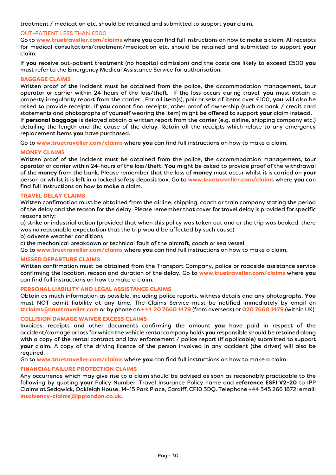treatment / medication etc. should be retained and submitted to support **your** claim.

#### OUT-PATIENT LESS THAN £500

Go to **www.truetraveller.com/claims** where **you** can find full instructions on how to make a claim. All receipts for medical consultations/treatment/medication etc. should be retained and submitted to support **your** claim.

If **you** receive out-patient treatment (no hospital admission) and the costs are likely to exceed £500 **you** must refer to the Emergency Medical Assistance Service for authorisation.

#### **BAGGAGE CLAIMS**

Written proof of the incident must be obtained from the police, the accommodation management, tour operator or carrier within 24-hours of the loss/theft. If the loss occurs during travel, **you** must obtain a property irregularity report from the carrier. For all item(s), pair or sets of items over £100, **you**will also be asked to provide receipts. If **you**cannot find receipts, other proof of ownership (such as bank / credit card statements and photographs of yourself wearing the item) might be offered to support **your**claim instead. If **personal baggage** is delayed obtain a written report from the carrier (e.g. airline, shipping company etc.) detailing the length and the cause of the delay. Retain all the receipts which relate to any emergency replacement items **you**have purchased.

Go to **www.truetraveller.com/claims** where **you** can find full instructions on how to make a claim.

#### **MONEY CLAIMS**

Written proof of the incident must be obtained from the police, the accommodation management, tour operator or carrier within 24-hours of the loss/theft. **You**might be asked to provide proof of the withdrawal of the **money** from the bank. Please remember that the loss of **money** must occur whilst it is carried on **your** person or whilst it is left in a locked safety deposit box. Go to **www.truetraveller.com/claims** where **you** can find full instructions on how to make a claim.

## **TRAVEL DELAY CLAIMS**

Written confirmation must be obtained from the airline, shipping, coach or train company stating the period of the delay and the reason for the delay. Please remember that cover for travel delay is provided for specific reasons only:

a) strike or industrial action (provided that when this policy was taken out and or the trip was booked, there was no reasonable expectation that the trip would be affected by such cause)

b) adverse weather conditions

c) the mechanical breakdown or technical fault of the aircraft, coach or sea vessel

Go to **www.truetraveller.com/claims** where **you** can find full instructions on how to make a claim.

#### **MISSED DEPARTURE CLAIMS**

Written confirmation must be obtained from the Transport Company, police or roadside assistance service confirming the location, reason and duration of the delay. Go to **www.truetraveller.com/claims** where **you** can find full instructions on how to make a claim.

#### **PERSONAL LIABILITY AND LEGAL ASSISTANCE CLAIMS**

Obtain as much information as possible, including police reports, witness details and any photographs. **You** must NOT admit liability at any time. The Claims Service must be notified immediately by email on **ttclaims@truetraveller.com** or by phone on **+44 20 7660 1479** (from overseas) or **020 7660 1479** (within UK).

#### **COLLISION DAMAGE WAIVER EXCESS CLAIMS**

Invoices, receipts and other documents confirming the amount **you** have paid in respect of the accident/damage or loss for which the vehicle rental company holds **you** responsible should be retained along with a copy of the rental contract and law enforcement / police report (if applicable) submitted to support **your** claim. A copy of the driving licence of the person involved in any accident (the driver) will also be required.

Go to **www.truetraveller.com/claims** where **you** can find full instructions on how to make a claim.

#### **FINANCIAL FAILURE PROTECTION CLAIMS**

Any occurrence which may give rise to a claim should be advised as soon as reasonably practicable to the following by quoting **your** Policy Number, Travel Insurance Policy name and **reference ESFI V2-20** to IPP Claims at Sedgwick, Oakleigh House, 14-15 Park Place, Cardiff, CF10 3DQ. Telephone +44 345 266 1872; email: **insolvency-claims@ipplondon.co.uk**.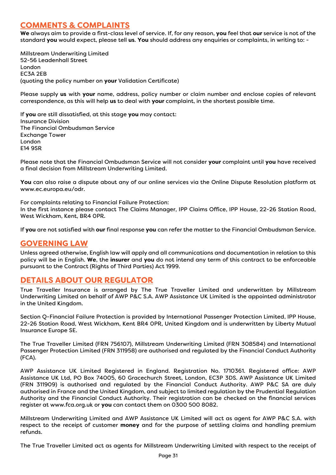## **COMMENTS & COMPLAINTS**

**We** always aim to provide a first-class level of service. If, for any reason, **you** feel that **our** service is not of the standard **you** would expect, please tell **us**. **You** should address any enquiries or complaints, in writing to: -

Millstream Underwriting Limited 52-56 Leadenhall Street London EC3A 2EB (quoting the policy number on **your** Validation Certificate)

Please supply **us** with **your** name, address, policy number or claim number and enclose copies of relevant correspondence, as this will help **us** to deal with **your** complaint, in the shortest possible time.

If **you** are still dissatisfied, at this stage **you** may contact: Insurance Division The Financial Ombudsman Service Exchange Tower London E14 9SR

Please note that the Financial Ombudsman Service will not consider **your** complaint until **you** have received a final decision from Millstream Underwriting Limited.

**You** can also raise a dispute about any of our online services via the Online Dispute Resolution platform at www.ec.europa.eu/odr.

For complaints relating to Financial Failure Protection: In the first instance please contact The Claims Manager, IPP Claims Office, IPP House, 22-26 Station Road, West Wickham, Kent, BR4 0PR.

If **you**are not satisfied with **our**final response **you**can refer the matter to the Financial Ombudsman Service.

## **GOVERNING LAW**

Unless agreed otherwise, English law will apply and all communications and documentation in relation to this policy will be in English. **We**, the **insurer**and **you** do not intend any term of this contract to be enforceable pursuant to the Contract (Rights of Third Parties) Act 1999.

## **DETAILS ABOUT OUR REGULATOR**

True Traveller Insurance is arranged by The True Traveller Limited and underwritten by Millstream Underwriting Limited on behalf of AWP P&C S.A. AWP Assistance UK Limited is the appointed administrator in the United Kingdom.

Section Q-Financial Failure Protection is provided by International Passenger Protection Limited, IPP House, 22-26 Station Road, West Wickham, Kent BR4 0PR, United Kingdom and is underwritten by Liberty Mutual Insurance Europe SE.

The True Traveller Limited (FRN 756107), Millstream Underwriting Limited (FRN 308584) and International Passenger Protection Limited (FRN 311958) are authorised and regulated by the Financial Conduct Authority (FCA).

AWP Assistance UK Limited Registered in England. Registration No. 1710361. Registered office: AWP Assistance UK Ltd, PO Box 74005, 60 Gracechurch Street, London, EC3P 3DS. AWP Assistance UK Limited (FRN 311909) is authorised and regulated by the Financial Conduct Authority. AWP P&C SA are duly authorised in France and the United Kingdom, and subject to limited regulation by the Prudential Regulation Authority and the Financial Conduct Authority. Their registration can be checked on the financial services register at www.fca.org.uk or **you** can contact them on 0300 500 8082.

Millstream Underwriting Limited and AWP Assistance UK Limited will act as agent for AWP P&C S.A. with respect to the receipt of customer **money** and for the purpose of settling claims and handling premium refunds.

The True Traveller Limited act as agents for Millstream Underwriting Limited with respect to the receipt of